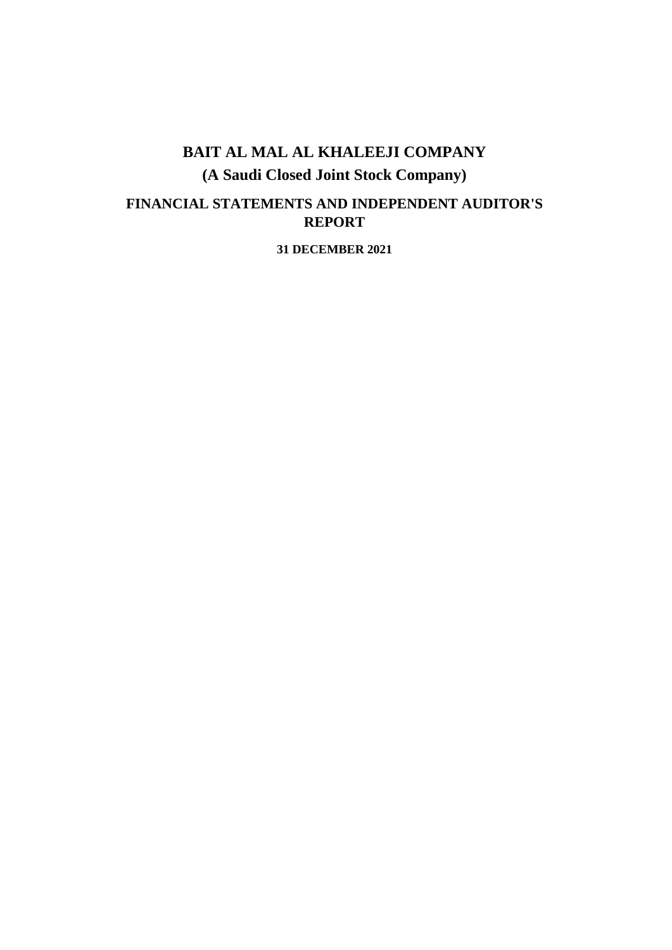## **BAIT AL MAL AL KHALEEJI COMPANY FINANCIAL STATEMENTS AND INDEPENDENT AUDITOR'S REPORT (A Saudi Closed Joint Stock Company)**

**31 DECEMBER 2021**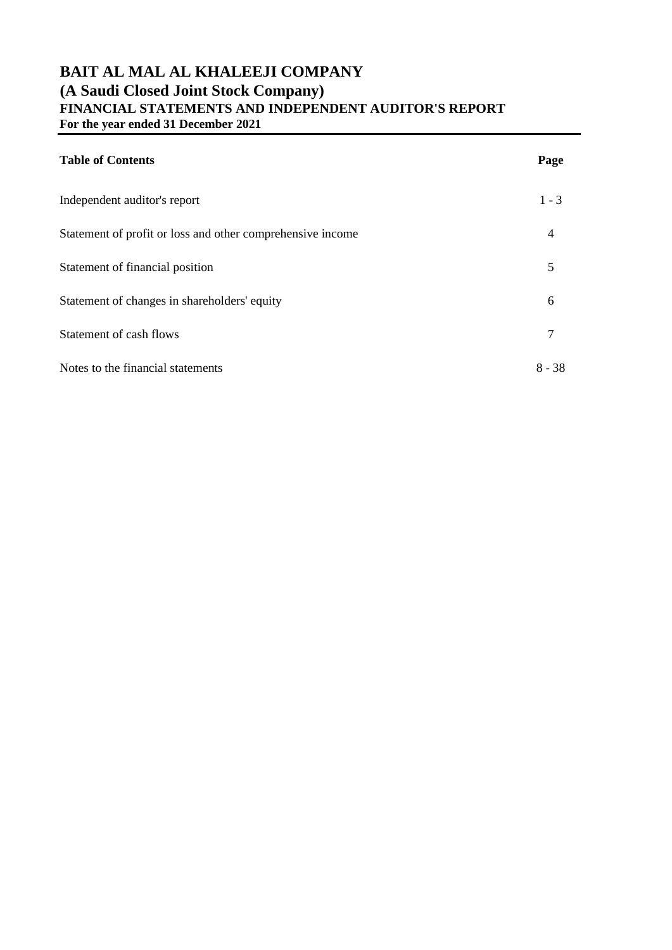### **BAIT AL MAL AL KHALEEJI COMPANY (A Saudi Closed Joint Stock Company) FINANCIAL STATEMENTS AND INDEPENDENT AUDITOR'S REPORT For the year ended 31 December 2021**

| <b>Table of Contents</b>                                   | Page           |
|------------------------------------------------------------|----------------|
| Independent auditor's report                               | $1 - 3$        |
| Statement of profit or loss and other comprehensive income | $\overline{4}$ |
| Statement of financial position                            | 5              |
| Statement of changes in shareholders' equity               | 6              |
| Statement of cash flows                                    | 7              |
| Notes to the financial statements                          | $8 - 38$       |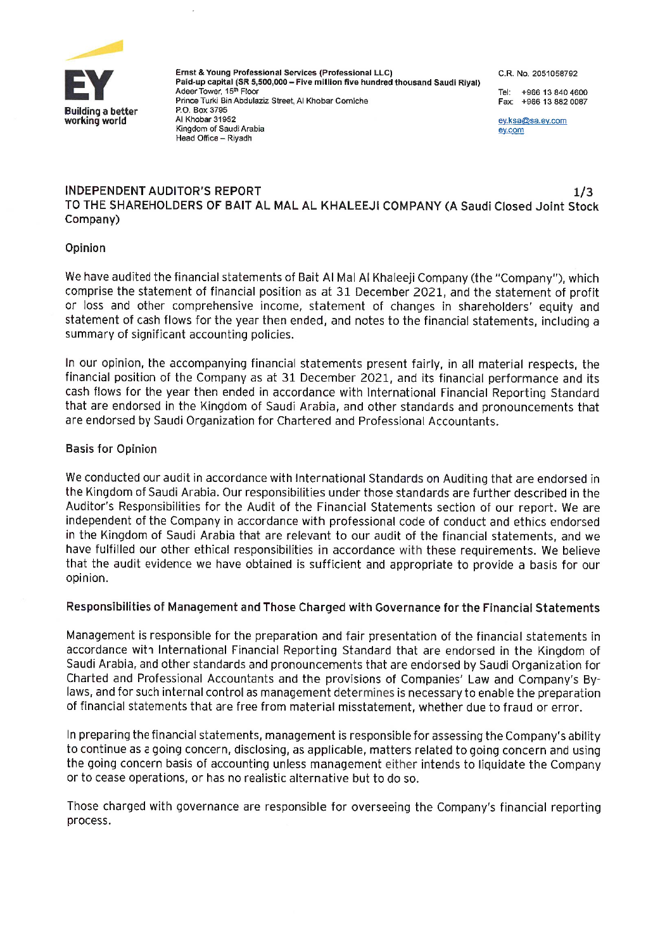

Ernst & Young Professional Services (Professional LLC) Paid-up capital (SR 5,500,000 - Five million five hundred thousand Saudi Rival) Adeer Tower, 15th Floor Prince Turki Bin Abdulaziz Street, Al Khobar Corniche P.O. Box 3795 Al Khobar 31952 Kingdom of Saudi Arabia Head Office - Riyadh

C.R. No. 2051058792

Tel: +966 13 840 4600 Fax: +966 13 882 0087

ev.ksa@sa.ev.com ey.com

#### **INDEPENDENT AUDITOR'S REPORT**  $1/3$ TO THE SHAREHOLDERS OF BAIT AL MAL AL KHALEEJI COMPANY (A Saudi Closed Joint Stock Company)

#### Opinion

We have audited the financial statements of Bait AI Mal AI Khaleeji Company (the "Company"), which comprise the statement of financial position as at 31 December 2021, and the statement of profit or loss and other comprehensive income, statement of changes in shareholders' equity and statement of cash flows for the year then ended, and notes to the financial statements, including a summary of significant accounting policies.

In our opinion, the accompanying financial statements present fairly, in all material respects, the financial position of the Company as at 31 December 2021, and its financial performance and its cash flows for the year then ended in accordance with International Financial Reporting Standard that are endorsed in the Kingdom of Saudi Arabia, and other standards and pronouncements that are endorsed by Saudi Organization for Chartered and Professional Accountants.

#### **Basis for Opinion**

We conducted our audit in accordance with International Standards on Auditing that are endorsed in the Kingdom of Saudi Arabia. Our responsibilities under those standards are further described in the Auditor's Responsibilities for the Audit of the Financial Statements section of our report. We are independent of the Company in accordance with professional code of conduct and ethics endorsed in the Kingdom of Saudi Arabia that are relevant to our audit of the financial statements, and we have fulfilled our other ethical responsibilities in accordance with these requirements. We believe that the audit evidence we have obtained is sufficient and appropriate to provide a basis for our opinion.

#### Responsibilities of Management and Those Charged with Governance for the Financial Statements

Management is responsible for the preparation and fair presentation of the financial statements in accordance with International Financial Reporting Standard that are endorsed in the Kingdom of Saudi Arabia, and other standards and pronouncements that are endorsed by Saudi Organization for Charted and Professional Accountants and the provisions of Companies' Law and Company's Bylaws, and for such internal control as management determines is necessary to enable the preparation of financial statements that are free from material misstatement, whether due to fraud or error.

In preparing the financial statements, management is responsible for assessing the Company's ability to continue as a going concern, disclosing, as applicable, matters related to going concern and using the going concern basis of accounting unless management either intends to liguidate the Company or to cease operations, or has no realistic alternative but to do so.

Those charged with governance are responsible for overseeing the Company's financial reporting process.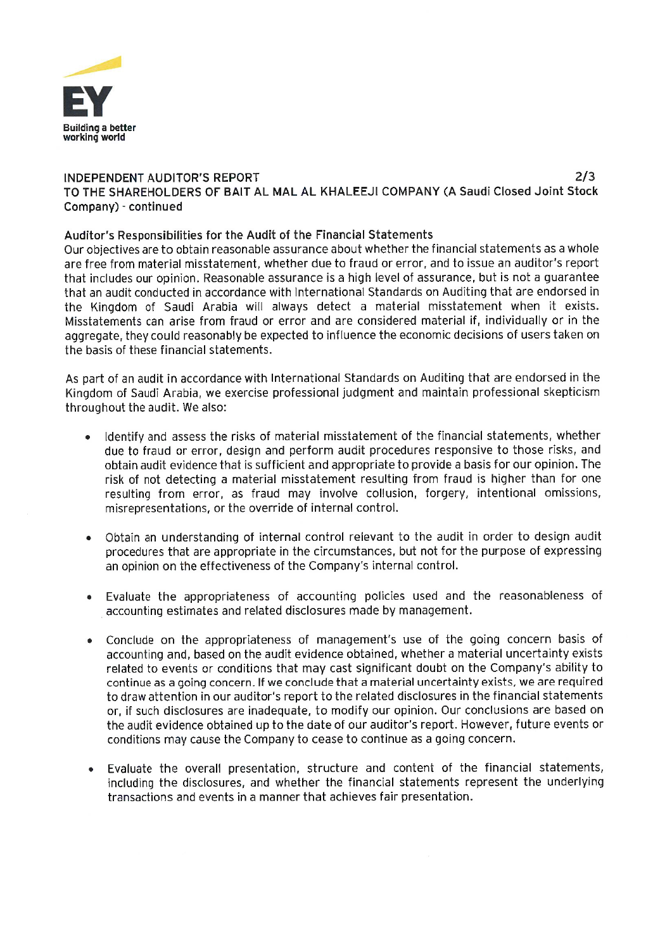

#### **INDEPENDENT AUDITOR'S REPORT**  $2/3$ TO THE SHAREHOLDERS OF BAIT AL MAL AL KHALEEJI COMPANY (A Saudi Closed Joint Stock Company) - continued

#### Auditor's Responsibilities for the Audit of the Financial Statements

Our objectives are to obtain reasonable assurance about whether the financial statements as a whole are free from material misstatement, whether due to fraud or error, and to issue an auditor's report that includes our opinion. Reasonable assurance is a high level of assurance, but is not a guarantee that an audit conducted in accordance with International Standards on Auditing that are endorsed in the Kingdom of Saudi Arabia will always detect a material misstatement when it exists. Misstatements can arise from fraud or error and are considered material if, individually or in the aggregate, they could reasonably be expected to influence the economic decisions of users taken on the basis of these financial statements.

As part of an audit in accordance with International Standards on Auditing that are endorsed in the Kingdom of Saudi Arabia, we exercise professional judgment and maintain professional skepticism throughout the audit. We also:

- Identify and assess the risks of material misstatement of the financial statements, whether  $\bullet$ due to fraud or error, design and perform audit procedures responsive to those risks, and obtain audit evidence that is sufficient and appropriate to provide a basis for our opinion. The risk of not detecting a material misstatement resulting from fraud is higher than for one resulting from error, as fraud may involve collusion, forgery, intentional omissions, misrepresentations, or the override of internal control.
- Obtain an understanding of internal control relevant to the audit in order to design audit  $\bullet$ procedures that are appropriate in the circumstances, but not for the purpose of expressing an opinion on the effectiveness of the Company's internal control.
- Evaluate the appropriateness of accounting policies used and the reasonableness of accounting estimates and related disclosures made by management.
- Conclude on the appropriateness of management's use of the going concern basis of  $\bullet$ accounting and, based on the audit evidence obtained, whether a material uncertainty exists related to events or conditions that may cast significant doubt on the Company's ability to continue as a going concern. If we conclude that a material uncertainty exists, we are required to draw attention in our auditor's report to the related disclosures in the financial statements or, if such disclosures are inadequate, to modify our opinion. Our conclusions are based on the audit evidence obtained up to the date of our auditor's report. However, future events or conditions may cause the Company to cease to continue as a going concern.
- Evaluate the overall presentation, structure and content of the financial statements, including the disclosures, and whether the financial statements represent the underlying transactions and events in a manner that achieves fair presentation.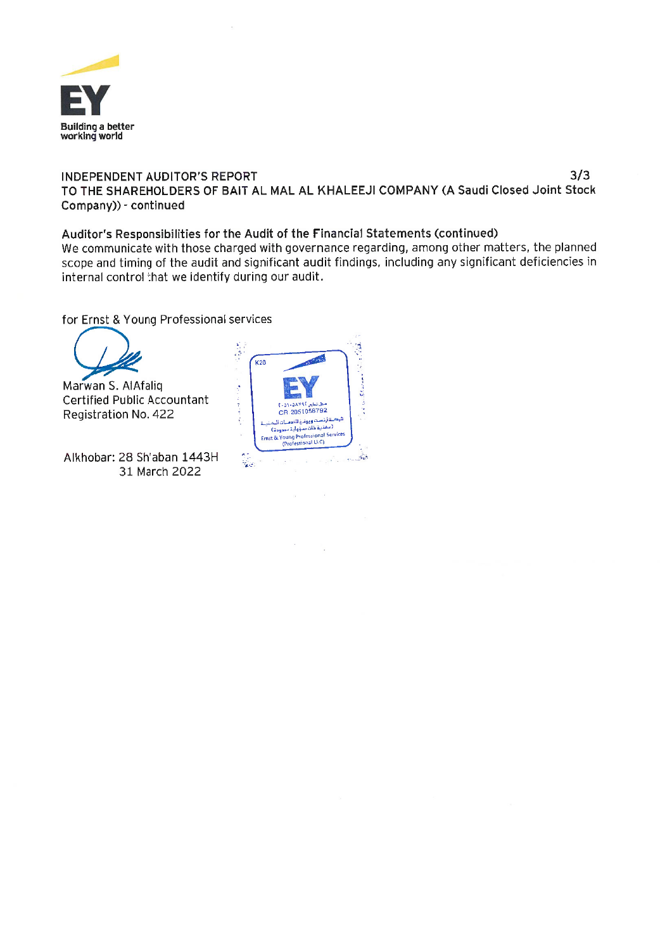

#### $3/3$ INDEPENDENT AUDITOR'S REPORT TO THE SHAREHOLDERS OF BAIT AL MAL AL KHALEEJI COMPANY (A Saudi Closed Joint Stock Company)) - continued

#### Auditor's Responsibilities for the Audit of the Financial Statements (continued)

We communicate with those charged with governance regarding, among other matters, the planned scope and timing of the audit and significant audit findings, including any significant deficiencies in internal control that we identify during our audit.

for Ernst & Young Professional services

Marwan S. AlAfalig **Certified Public Accountant** Registration No. 422

Alkhobar: 28 Sh'aban 1443H 31 March 2022

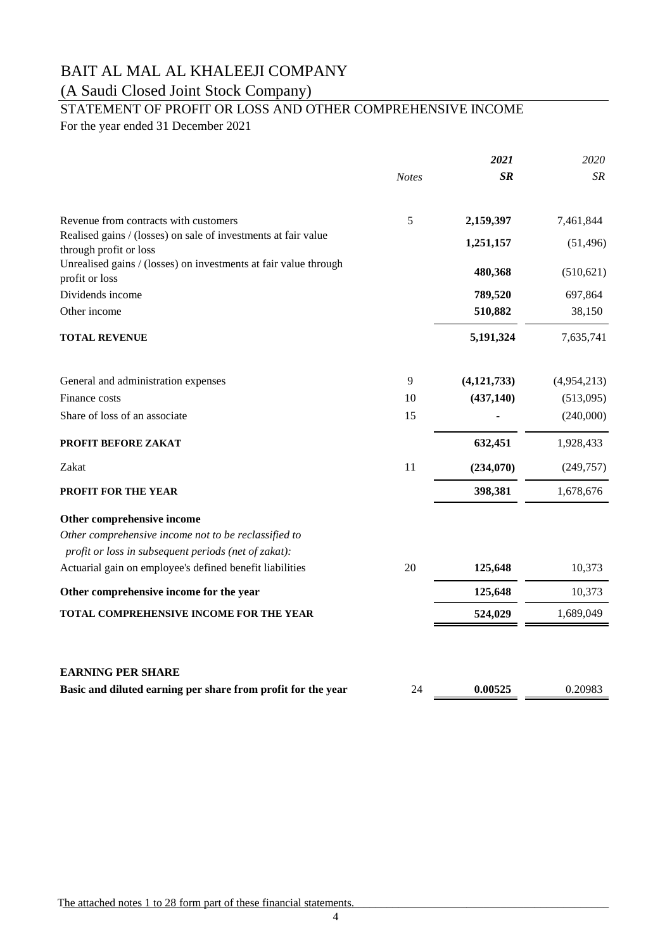### (A Saudi Closed Joint Stock Company)

### STATEMENT OF PROFIT OR LOSS AND OTHER COMPREHENSIVE INCOME

For the year ended 31 December 2021

|                                                                                          |              | 2021          | 2020        |
|------------------------------------------------------------------------------------------|--------------|---------------|-------------|
|                                                                                          | <b>Notes</b> | $S_{I\!\!R}$  | <b>SR</b>   |
| Revenue from contracts with customers                                                    | 5            | 2,159,397     | 7,461,844   |
| Realised gains / (losses) on sale of investments at fair value<br>through profit or loss |              | 1,251,157     | (51, 496)   |
| Unrealised gains / (losses) on investments at fair value through<br>profit or loss       |              | 480,368       | (510, 621)  |
| Dividends income                                                                         |              | 789,520       | 697,864     |
| Other income                                                                             |              | 510,882       | 38,150      |
| <b>TOTAL REVENUE</b>                                                                     |              | 5,191,324     | 7,635,741   |
| General and administration expenses                                                      | 9            | (4, 121, 733) | (4,954,213) |
| Finance costs                                                                            | 10           | (437, 140)    | (513,095)   |
| Share of loss of an associate                                                            | 15           |               | (240,000)   |
| PROFIT BEFORE ZAKAT                                                                      |              | 632,451       | 1,928,433   |
| Zakat                                                                                    | 11           | (234,070)     | (249, 757)  |
| PROFIT FOR THE YEAR                                                                      |              | 398,381       | 1,678,676   |
| Other comprehensive income                                                               |              |               |             |
| Other comprehensive income not to be reclassified to                                     |              |               |             |
| profit or loss in subsequent periods (net of zakat):                                     |              |               |             |
| Actuarial gain on employee's defined benefit liabilities                                 | 20           | 125,648       | 10,373      |
| Other comprehensive income for the year                                                  |              | 125,648       | 10,373      |
| TOTAL COMPREHENSIVE INCOME FOR THE YEAR                                                  |              | 524,029       | 1,689,049   |
| <b>EARNING PER SHARE</b>                                                                 |              |               |             |
| Basic and diluted earning per share from profit for the year                             | 24           | 0.00525       | 0.20983     |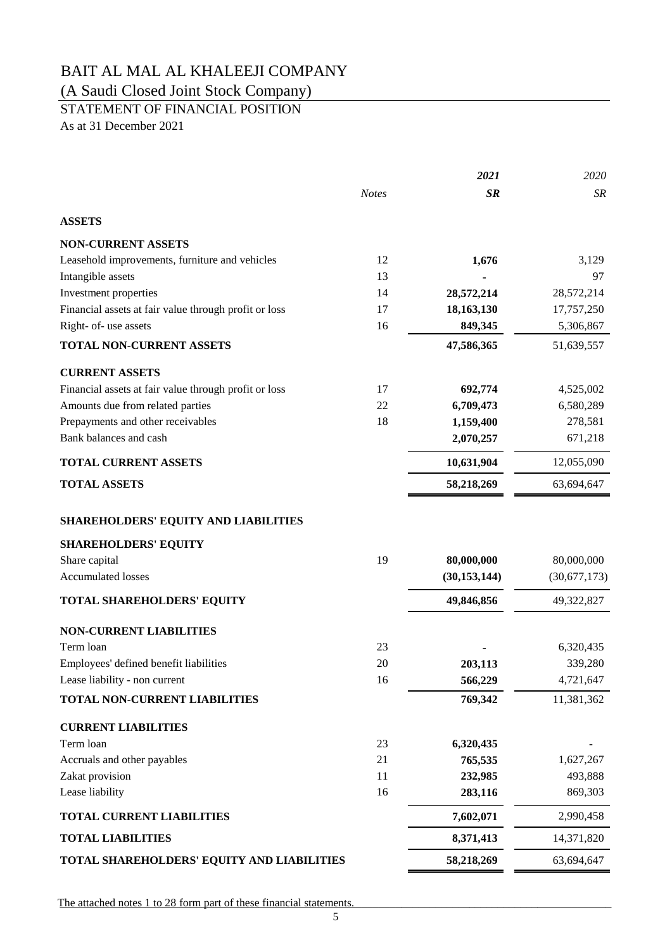### (A Saudi Closed Joint Stock Company)

### STATEMENT OF FINANCIAL POSITION

As at 31 December 2021

|                                                       |              | 2021           | 2020         |
|-------------------------------------------------------|--------------|----------------|--------------|
|                                                       | <b>Notes</b> | SR             | ${\cal SR}$  |
| <b>ASSETS</b>                                         |              |                |              |
| <b>NON-CURRENT ASSETS</b>                             |              |                |              |
| Leasehold improvements, furniture and vehicles        | 12           | 1,676          | 3,129        |
| Intangible assets                                     | 13           |                | 97           |
| Investment properties                                 | 14           | 28,572,214     | 28,572,214   |
| Financial assets at fair value through profit or loss | 17           | 18,163,130     | 17,757,250   |
| Right- of- use assets                                 | 16           | 849,345        | 5,306,867    |
| TOTAL NON-CURRENT ASSETS                              |              | 47,586,365     | 51,639,557   |
| <b>CURRENT ASSETS</b>                                 |              |                |              |
| Financial assets at fair value through profit or loss | 17           | 692,774        | 4,525,002    |
| Amounts due from related parties                      | 22           | 6,709,473      | 6,580,289    |
| Prepayments and other receivables                     | 18           | 1,159,400      | 278,581      |
| Bank balances and cash                                |              | 2,070,257      | 671,218      |
| <b>TOTAL CURRENT ASSETS</b>                           |              | 10,631,904     | 12,055,090   |
| <b>TOTAL ASSETS</b>                                   |              | 58,218,269     | 63,694,647   |
| <b>SHAREHOLDERS' EQUITY AND LIABILITIES</b>           |              |                |              |
| <b>SHAREHOLDERS' EQUITY</b>                           |              |                |              |
| Share capital                                         | 19           | 80,000,000     | 80,000,000   |
| <b>Accumulated losses</b>                             |              | (30, 153, 144) | (30,677,173) |
| <b>TOTAL SHAREHOLDERS' EQUITY</b>                     |              | 49,846,856     | 49,322,827   |
| <b>NON-CURRENT LIABILITIES</b>                        |              |                |              |
| Term loan                                             | 23           |                | 6,320,435    |
| Employees' defined benefit liabilities                | 20           | 203,113        | 339,280      |
| Lease liability - non current                         | 16           | 566,229        | 4,721,647    |
| TOTAL NON-CURRENT LIABILITIES                         |              | 769,342        | 11,381,362   |
| <b>CURRENT LIABILITIES</b>                            |              |                |              |
| Term loan                                             | 23           | 6,320,435      |              |
| Accruals and other payables                           | 21           | 765,535        | 1,627,267    |
| Zakat provision                                       | 11           | 232,985        | 493,888      |
| Lease liability                                       | 16           | 283,116        | 869,303      |
| <b>TOTAL CURRENT LIABILITIES</b>                      |              | 7,602,071      | 2,990,458    |
| <b>TOTAL LIABILITIES</b>                              |              | 8,371,413      | 14,371,820   |
| TOTAL SHAREHOLDERS' EQUITY AND LIABILITIES            |              | 58,218,269     | 63,694,647   |
|                                                       |              |                |              |

The attached notes 1 to 28 form part of these financial statements.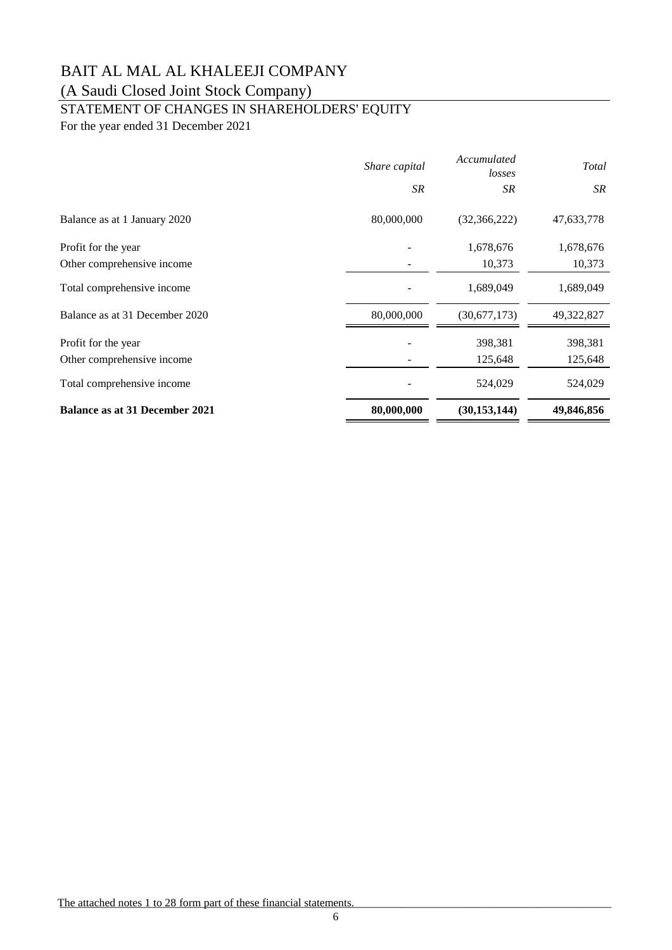### (A Saudi Closed Joint Stock Company)

### STATEMENT OF CHANGES IN SHAREHOLDERS' EQUITY

For the year ended 31 December 2021

|                                       | Share capital | Accumulated<br>losses | Total      |
|---------------------------------------|---------------|-----------------------|------------|
|                                       | SR            | SR                    | SR         |
| Balance as at 1 January 2020          | 80,000,000    | (32, 366, 222)        | 47,633,778 |
| Profit for the year                   |               | 1,678,676             | 1,678,676  |
| Other comprehensive income            |               | 10,373                | 10,373     |
| Total comprehensive income            |               | 1,689,049             | 1,689,049  |
| Balance as at 31 December 2020        | 80,000,000    | (30,677,173)          | 49,322,827 |
| Profit for the year                   |               | 398,381               | 398,381    |
| Other comprehensive income            |               | 125,648               | 125,648    |
| Total comprehensive income            |               | 524,029               | 524,029    |
| <b>Balance as at 31 December 2021</b> | 80,000,000    | (30, 153, 144)        | 49,846,856 |

The attached notes 1 to 28 form part of these financial statements.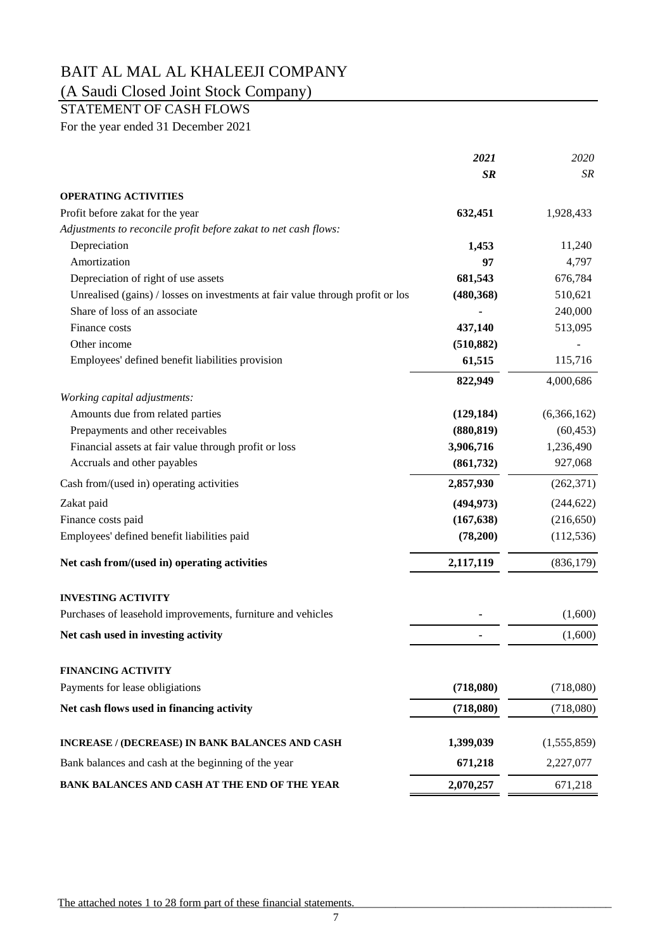### (A Saudi Closed Joint Stock Company)

### STATEMENT OF CASH FLOWS

For the year ended 31 December 2021

|                                                                                | 2021       | 2020        |
|--------------------------------------------------------------------------------|------------|-------------|
|                                                                                | <b>SR</b>  | <b>SR</b>   |
| <b>OPERATING ACTIVITIES</b>                                                    |            |             |
| Profit before zakat for the year                                               | 632,451    | 1,928,433   |
| Adjustments to reconcile profit before zakat to net cash flows:                |            |             |
| Depreciation                                                                   | 1,453      | 11,240      |
| Amortization                                                                   | 97         | 4,797       |
| Depreciation of right of use assets                                            | 681,543    | 676,784     |
| Unrealised (gains) / losses on investments at fair value through profit or los | (480, 368) | 510,621     |
| Share of loss of an associate                                                  |            | 240,000     |
| Finance costs                                                                  | 437,140    | 513,095     |
| Other income                                                                   | (510, 882) |             |
| Employees' defined benefit liabilities provision                               | 61,515     | 115,716     |
|                                                                                | 822,949    | 4,000,686   |
| Working capital adjustments:                                                   |            |             |
| Amounts due from related parties                                               | (129, 184) | (6,366,162) |
| Prepayments and other receivables                                              | (880, 819) | (60, 453)   |
| Financial assets at fair value through profit or loss                          | 3,906,716  | 1,236,490   |
| Accruals and other payables                                                    | (861,732)  | 927,068     |
| Cash from/(used in) operating activities                                       | 2,857,930  | (262, 371)  |
| Zakat paid                                                                     | (494, 973) | (244, 622)  |
| Finance costs paid                                                             | (167, 638) | (216, 650)  |
| Employees' defined benefit liabilities paid                                    | (78,200)   | (112, 536)  |
| Net cash from/(used in) operating activities                                   | 2,117,119  | (836, 179)  |
| <b>INVESTING ACTIVITY</b>                                                      |            |             |
| Purchases of leasehold improvements, furniture and vehicles                    |            | (1,600)     |
| Net cash used in investing activity                                            |            | (1,600)     |
| <b>FINANCING ACTIVITY</b>                                                      |            |             |
| Payments for lease obligiations                                                | (718,080)  | (718,080)   |
| Net cash flows used in financing activity                                      | (718,080)  | (718,080)   |
|                                                                                |            |             |
| <b>INCREASE / (DECREASE) IN BANK BALANCES AND CASH</b>                         | 1,399,039  | (1,555,859) |
| Bank balances and cash at the beginning of the year                            | 671,218    | 2,227,077   |
| BANK BALANCES AND CASH AT THE END OF THE YEAR                                  | 2,070,257  | 671,218     |

The attached notes 1 to 28 form part of these financial statements.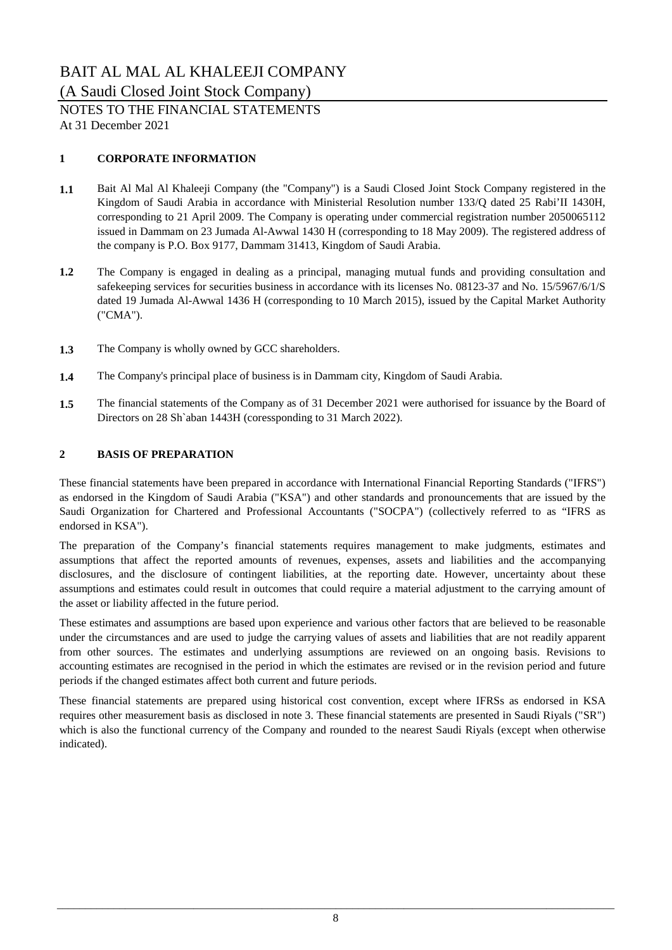NOTES TO THE FINANCIAL STATEMENTS

At 31 December 2021

#### **1 CORPORATE INFORMATION**

- **1.1** Bait Al Mal Al Khaleeji Company (the "Company") is a Saudi Closed Joint Stock Company registered in the Kingdom of Saudi Arabia in accordance with Ministerial Resolution number 133/Q dated 25 Rabi'II 1430H, corresponding to 21 April 2009. The Company is operating under commercial registration number 2050065112 issued in Dammam on 23 Jumada Al-Awwal 1430 H (corresponding to 18 May 2009). The registered address of the company is P.O. Box 9177, Dammam 31413, Kingdom of Saudi Arabia.
- **1.2** The Company is engaged in dealing as a principal, managing mutual funds and providing consultation and safekeeping services for securities business in accordance with its licenses No. 08123-37 and No. 15/5967/6/1/S dated 19 Jumada Al-Awwal 1436 H (corresponding to 10 March 2015), issued by the Capital Market Authority ("CMA").
- **1.3** The Company is wholly owned by GCC shareholders.
- **1.4** The Company's principal place of business is in Dammam city, Kingdom of Saudi Arabia.
- **1.5** The financial statements of the Company as of 31 December 2021 were authorised for issuance by the Board of Directors on 28 Sh`aban 1443H (coressponding to 31 March 2022).

#### **2 BASIS OF PREPARATION**

These financial statements have been prepared in accordance with International Financial Reporting Standards ("IFRS") as endorsed in the Kingdom of Saudi Arabia ("KSA") and other standards and pronouncements that are issued by the Saudi Organization for Chartered and Professional Accountants ("SOCPA") (collectively referred to as "IFRS as endorsed in KSA").

The preparation of the Company's financial statements requires management to make judgments, estimates and assumptions that affect the reported amounts of revenues, expenses, assets and liabilities and the accompanying disclosures, and the disclosure of contingent liabilities, at the reporting date. However, uncertainty about these assumptions and estimates could result in outcomes that could require a material adjustment to the carrying amount of the asset or liability affected in the future period.

These estimates and assumptions are based upon experience and various other factors that are believed to be reasonable under the circumstances and are used to judge the carrying values of assets and liabilities that are not readily apparent from other sources. The estimates and underlying assumptions are reviewed on an ongoing basis. Revisions to accounting estimates are recognised in the period in which the estimates are revised or in the revision period and future periods if the changed estimates affect both current and future periods.

These financial statements are prepared using historical cost convention, except where IFRSs as endorsed in KSA requires other measurement basis as disclosed in note 3. These financial statements are presented in Saudi Riyals ("SR") which is also the functional currency of the Company and rounded to the nearest Saudi Riyals (except when otherwise indicated).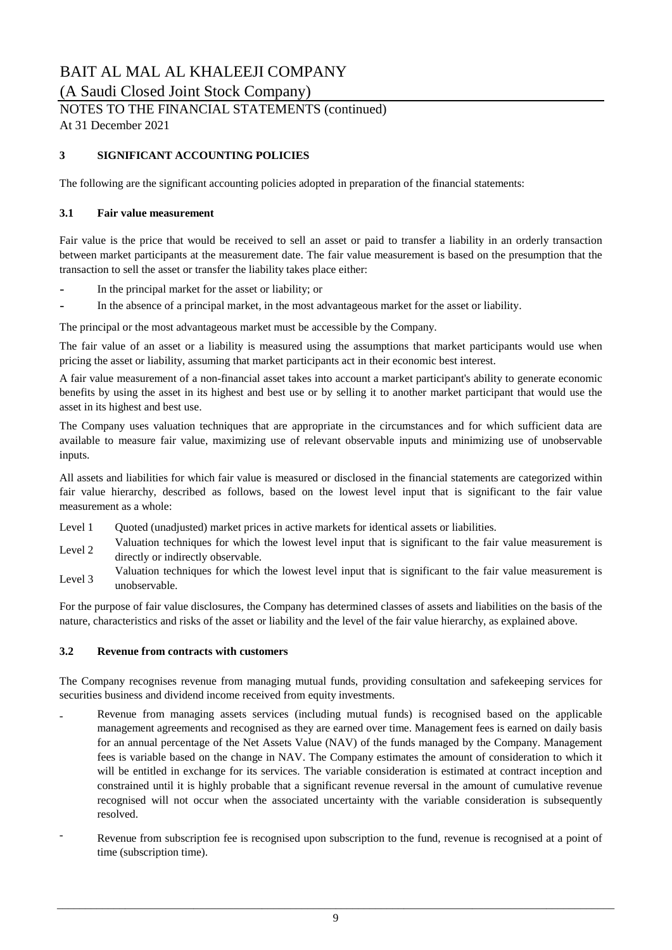### (A Saudi Closed Joint Stock Company)

## NOTES TO THE FINANCIAL STATEMENTS (continued)

At 31 December 2021

#### **3 SIGNIFICANT ACCOUNTING POLICIES**

The following are the significant accounting policies adopted in preparation of the financial statements:

#### **3.1 Fair value measurement**

Fair value is the price that would be received to sell an asset or paid to transfer a liability in an orderly transaction between market participants at the measurement date. The fair value measurement is based on the presumption that the transaction to sell the asset or transfer the liability takes place either:

- In the principal market for the asset or liability; or
- In the absence of a principal market, in the most advantageous market for the asset or liability.

The principal or the most advantageous market must be accessible by the Company.

The fair value of an asset or a liability is measured using the assumptions that market participants would use when pricing the asset or liability, assuming that market participants act in their economic best interest.

A fair value measurement of a non-financial asset takes into account a market participant's ability to generate economic benefits by using the asset in its highest and best use or by selling it to another market participant that would use the asset in its highest and best use.

The Company uses valuation techniques that are appropriate in the circumstances and for which sufficient data are available to measure fair value, maximizing use of relevant observable inputs and minimizing use of unobservable inputs.

All assets and liabilities for which fair value is measured or disclosed in the financial statements are categorized within fair value hierarchy, described as follows, based on the lowest level input that is significant to the fair value measurement as a whole:

- Level 1 Ouoted (unadjusted) market prices in active markets for identical assets or liabilities.
- Level 2 Valuation techniques for which the lowest level input that is significant to the fair value measurement is directly or indirectly observable.
- Level 3 Valuation techniques for which the lowest level input that is significant to the fair value measurement is unobservable.

For the purpose of fair value disclosures, the Company has determined classes of assets and liabilities on the basis of the nature, characteristics and risks of the asset or liability and the level of the fair value hierarchy, as explained above.

#### **3.2 Revenue from contracts with customers**

The Company recognises revenue from managing mutual funds, providing consultation and safekeeping services for securities business and dividend income received from equity investments.

- Revenue from managing assets services (including mutual funds) is recognised based on the applicable management agreements and recognised as they are earned over time. Management fees is earned on daily basis for an annual percentage of the Net Assets Value (NAV) of the funds managed by the Company. Management fees is variable based on the change in NAV. The Company estimates the amount of consideration to which it will be entitled in exchange for its services. The variable consideration is estimated at contract inception and constrained until it is highly probable that a significant revenue reversal in the amount of cumulative revenue recognised will not occur when the associated uncertainty with the variable consideration is subsequently resolved.
- Revenue from subscription fee is recognised upon subscription to the fund, revenue is recognised at a point of time (subscription time).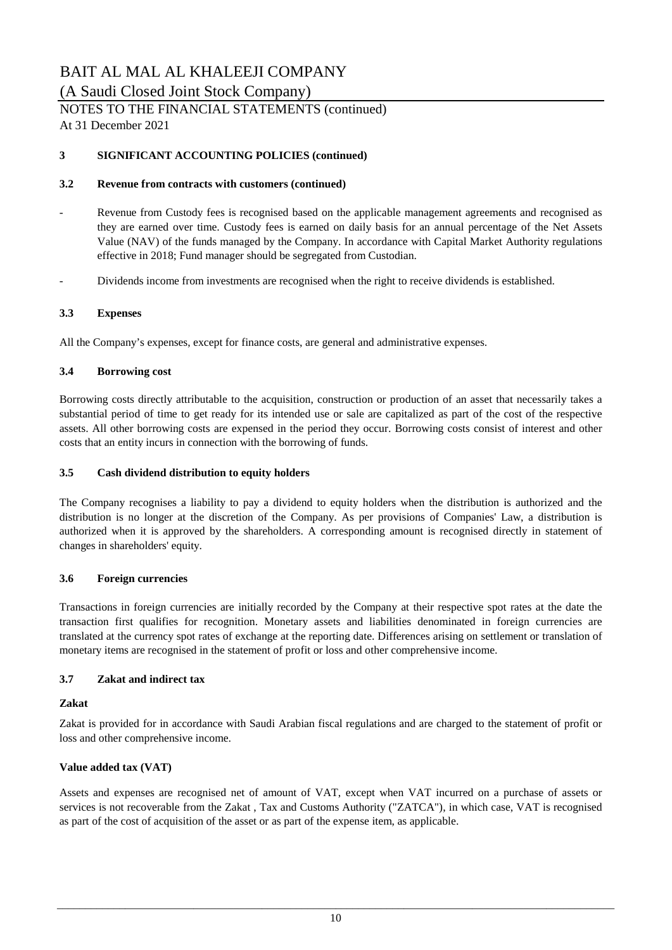#### At 31 December 2021 NOTES TO THE FINANCIAL STATEMENTS (continued)

### **3 SIGNIFICANT ACCOUNTING POLICIES (continued)**

#### **3.2 Revenue from contracts with customers (continued)**

- Revenue from Custody fees is recognised based on the applicable management agreements and recognised as they are earned over time. Custody fees is earned on daily basis for an annual percentage of the Net Assets Value (NAV) of the funds managed by the Company. In accordance with Capital Market Authority regulations effective in 2018; Fund manager should be segregated from Custodian.
- Dividends income from investments are recognised when the right to receive dividends is established.

#### **3.3 Expenses**

All the Company's expenses, except for finance costs, are general and administrative expenses.

#### **3.4 Borrowing cost**

Borrowing costs directly attributable to the acquisition, construction or production of an asset that necessarily takes a substantial period of time to get ready for its intended use or sale are capitalized as part of the cost of the respective assets. All other borrowing costs are expensed in the period they occur. Borrowing costs consist of interest and other costs that an entity incurs in connection with the borrowing of funds.

#### **3.5 Cash dividend distribution to equity holders**

The Company recognises a liability to pay a dividend to equity holders when the distribution is authorized and the distribution is no longer at the discretion of the Company. As per provisions of Companies' Law, a distribution is authorized when it is approved by the shareholders. A corresponding amount is recognised directly in statement of changes in shareholders' equity.

#### **3.6 Foreign currencies**

Transactions in foreign currencies are initially recorded by the Company at their respective spot rates at the date the transaction first qualifies for recognition. Monetary assets and liabilities denominated in foreign currencies are translated at the currency spot rates of exchange at the reporting date. Differences arising on settlement or translation of monetary items are recognised in the statement of profit or loss and other comprehensive income.

#### **3.7 Zakat and indirect tax**

#### **Zakat**

Zakat is provided for in accordance with Saudi Arabian fiscal regulations and are charged to the statement of profit or loss and other comprehensive income.

#### **Value added tax (VAT)**

Assets and expenses are recognised net of amount of VAT, except when VAT incurred on a purchase of assets or services is not recoverable from the Zakat , Tax and Customs Authority ("ZATCA"), in which case, VAT is recognised as part of the cost of acquisition of the asset or as part of the expense item, as applicable.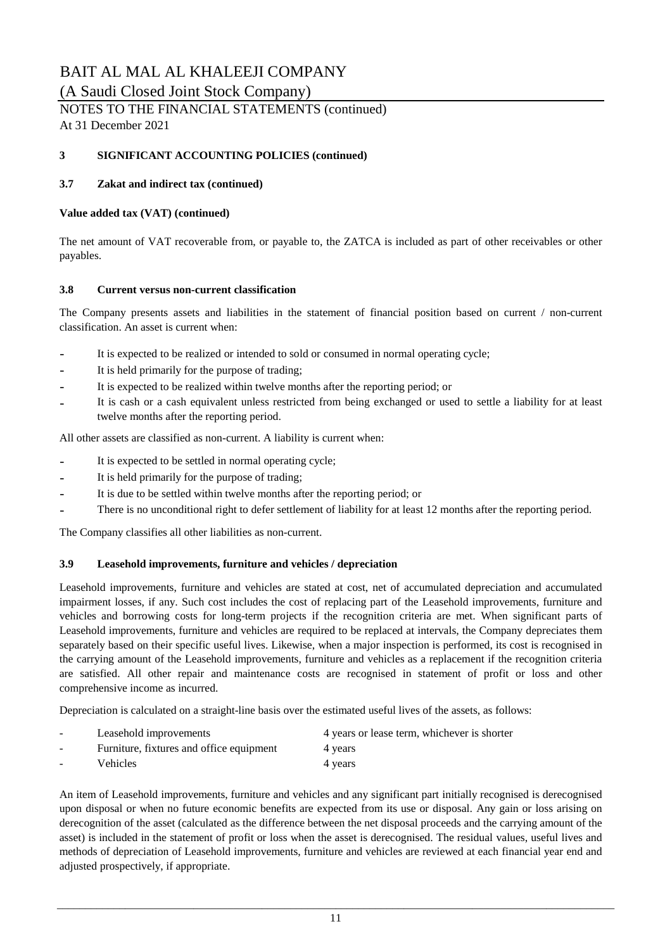# NOTES TO THE FINANCIAL STATEMENTS (continued)

At 31 December 2021

#### **3 SIGNIFICANT ACCOUNTING POLICIES (continued)**

#### **3.7 Zakat and indirect tax (continued)**

#### **Value added tax (VAT) (continued)**

The net amount of VAT recoverable from, or payable to, the ZATCA is included as part of other receivables or other payables.

#### **3.8 Current versus non-current classification**

The Company presents assets and liabilities in the statement of financial position based on current / non-current classification. An asset is current when:

- It is expected to be realized or intended to sold or consumed in normal operating cycle;
- It is held primarily for the purpose of trading;
- It is expected to be realized within twelve months after the reporting period; or
- It is cash or a cash equivalent unless restricted from being exchanged or used to settle a liability for at least twelve months after the reporting period.

All other assets are classified as non-current. A liability is current when:

- It is expected to be settled in normal operating cycle;
- It is held primarily for the purpose of trading;
- It is due to be settled within twelve months after the reporting period; or
- There is no unconditional right to defer settlement of liability for at least 12 months after the reporting period.

The Company classifies all other liabilities as non-current.

#### **3.9 Leasehold improvements, furniture and vehicles / depreciation**

Leasehold improvements, furniture and vehicles are stated at cost, net of accumulated depreciation and accumulated impairment losses, if any. Such cost includes the cost of replacing part of the Leasehold improvements, furniture and vehicles and borrowing costs for long-term projects if the recognition criteria are met. When significant parts of Leasehold improvements, furniture and vehicles are required to be replaced at intervals, the Company depreciates them separately based on their specific useful lives. Likewise, when a major inspection is performed, its cost is recognised in the carrying amount of the Leasehold improvements, furniture and vehicles as a replacement if the recognition criteria are satisfied. All other repair and maintenance costs are recognised in statement of profit or loss and other comprehensive income as incurred.

Depreciation is calculated on a straight-line basis over the estimated useful lives of the assets, as follows:

| $\sim$ $-$      | Leasehold improvements                   | 4 years or lease term, whichever is shorter |
|-----------------|------------------------------------------|---------------------------------------------|
| $\sim 100$      | Furniture, fixtures and office equipment | 4 years                                     |
| $\sim$ 10 $\pm$ | Vehicles                                 | 4 years                                     |

An item of Leasehold improvements, furniture and vehicles and any significant part initially recognised is derecognised upon disposal or when no future economic benefits are expected from its use or disposal. Any gain or loss arising on derecognition of the asset (calculated as the difference between the net disposal proceeds and the carrying amount of the asset) is included in the statement of profit or loss when the asset is derecognised. The residual values, useful lives and methods of depreciation of Leasehold improvements, furniture and vehicles are reviewed at each financial year end and adjusted prospectively, if appropriate.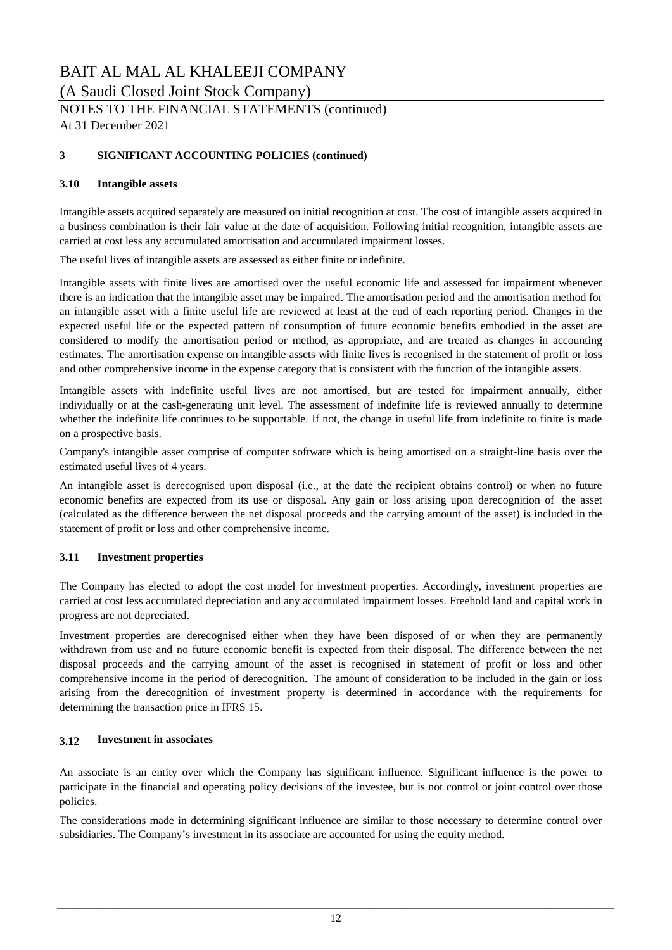At 31 December 2021 NOTES TO THE FINANCIAL STATEMENTS (continued)

#### **3 SIGNIFICANT ACCOUNTING POLICIES (continued)**

#### **3.10 Intangible assets**

Intangible assets acquired separately are measured on initial recognition at cost. The cost of intangible assets acquired in a business combination is their fair value at the date of acquisition. Following initial recognition, intangible assets are carried at cost less any accumulated amortisation and accumulated impairment losses.

The useful lives of intangible assets are assessed as either finite or indefinite.

Intangible assets with finite lives are amortised over the useful economic life and assessed for impairment whenever there is an indication that the intangible asset may be impaired. The amortisation period and the amortisation method for an intangible asset with a finite useful life are reviewed at least at the end of each reporting period. Changes in the expected useful life or the expected pattern of consumption of future economic benefits embodied in the asset are considered to modify the amortisation period or method, as appropriate, and are treated as changes in accounting estimates. The amortisation expense on intangible assets with finite lives is recognised in the statement of profit or loss and other comprehensive income in the expense category that is consistent with the function of the intangible assets.

Intangible assets with indefinite useful lives are not amortised, but are tested for impairment annually, either individually or at the cash-generating unit level. The assessment of indefinite life is reviewed annually to determine whether the indefinite life continues to be supportable. If not, the change in useful life from indefinite to finite is made on a prospective basis.

Company's intangible asset comprise of computer software which is being amortised on a straight-line basis over the estimated useful lives of 4 years.

An intangible asset is derecognised upon disposal (i.e., at the date the recipient obtains control) or when no future economic benefits are expected from its use or disposal. Any gain or loss arising upon derecognition of the asset (calculated as the difference between the net disposal proceeds and the carrying amount of the asset) is included in the statement of profit or loss and other comprehensive income.

#### **3.11 Investment properties**

The Company has elected to adopt the cost model for investment properties. Accordingly, investment properties are carried at cost less accumulated depreciation and any accumulated impairment losses. Freehold land and capital work in progress are not depreciated.

Investment properties are derecognised either when they have been disposed of or when they are permanently withdrawn from use and no future economic benefit is expected from their disposal. The difference between the net disposal proceeds and the carrying amount of the asset is recognised in statement of profit or loss and other comprehensive income in the period of derecognition. The amount of consideration to be included in the gain or loss arising from the derecognition of investment property is determined in accordance with the requirements for determining the transaction price in IFRS 15.

#### **3.12 Investment in associates**

An associate is an entity over which the Company has significant influence. Significant influence is the power to participate in the financial and operating policy decisions of the investee, but is not control or joint control over those policies.

The considerations made in determining significant influence are similar to those necessary to determine control over subsidiaries. The Company's investment in its associate are accounted for using the equity method.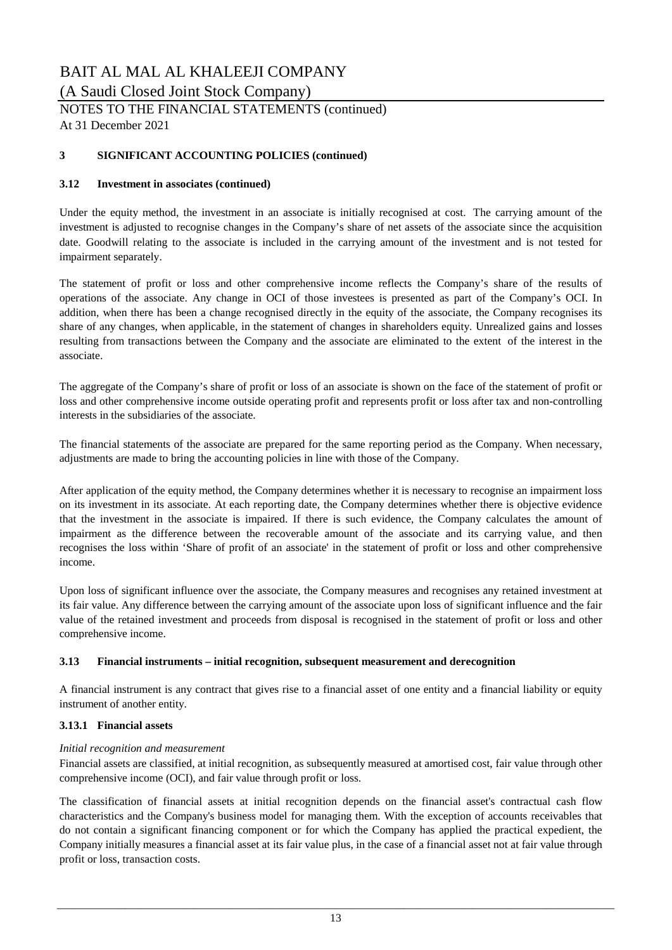At 31 December 2021 NOTES TO THE FINANCIAL STATEMENTS (continued)

#### **3 SIGNIFICANT ACCOUNTING POLICIES (continued)**

#### **3.12 Investment in associates (continued)**

Under the equity method, the investment in an associate is initially recognised at cost. The carrying amount of the investment is adjusted to recognise changes in the Company's share of net assets of the associate since the acquisition date. Goodwill relating to the associate is included in the carrying amount of the investment and is not tested for impairment separately.

The statement of profit or loss and other comprehensive income reflects the Company's share of the results of operations of the associate. Any change in OCI of those investees is presented as part of the Company's OCI. In addition, when there has been a change recognised directly in the equity of the associate, the Company recognises its share of any changes, when applicable, in the statement of changes in shareholders equity. Unrealized gains and losses resulting from transactions between the Company and the associate are eliminated to the extent of the interest in the associate.

The aggregate of the Company's share of profit or loss of an associate is shown on the face of the statement of profit or loss and other comprehensive income outside operating profit and represents profit or loss after tax and non-controlling interests in the subsidiaries of the associate.

The financial statements of the associate are prepared for the same reporting period as the Company. When necessary, adjustments are made to bring the accounting policies in line with those of the Company.

After application of the equity method, the Company determines whether it is necessary to recognise an impairment loss on its investment in its associate. At each reporting date, the Company determines whether there is objective evidence that the investment in the associate is impaired. If there is such evidence, the Company calculates the amount of impairment as the difference between the recoverable amount of the associate and its carrying value, and then recognises the loss within 'Share of profit of an associate' in the statement of profit or loss and other comprehensive income.

Upon loss of significant influence over the associate, the Company measures and recognises any retained investment at its fair value. Any difference between the carrying amount of the associate upon loss of significant influence and the fair value of the retained investment and proceeds from disposal is recognised in the statement of profit or loss and other comprehensive income.

#### **3.13 Financial instruments – initial recognition, subsequent measurement and derecognition**

A financial instrument is any contract that gives rise to a financial asset of one entity and a financial liability or equity instrument of another entity.

#### **3.13.1 Financial assets**

#### *Initial recognition and measurement*

Financial assets are classified, at initial recognition, as subsequently measured at amortised cost, fair value through other comprehensive income (OCI), and fair value through profit or loss.

The classification of financial assets at initial recognition depends on the financial asset's contractual cash flow characteristics and the Company's business model for managing them. With the exception of accounts receivables that do not contain a significant financing component or for which the Company has applied the practical expedient, the Company initially measures a financial asset at its fair value plus, in the case of a financial asset not at fair value through profit or loss, transaction costs.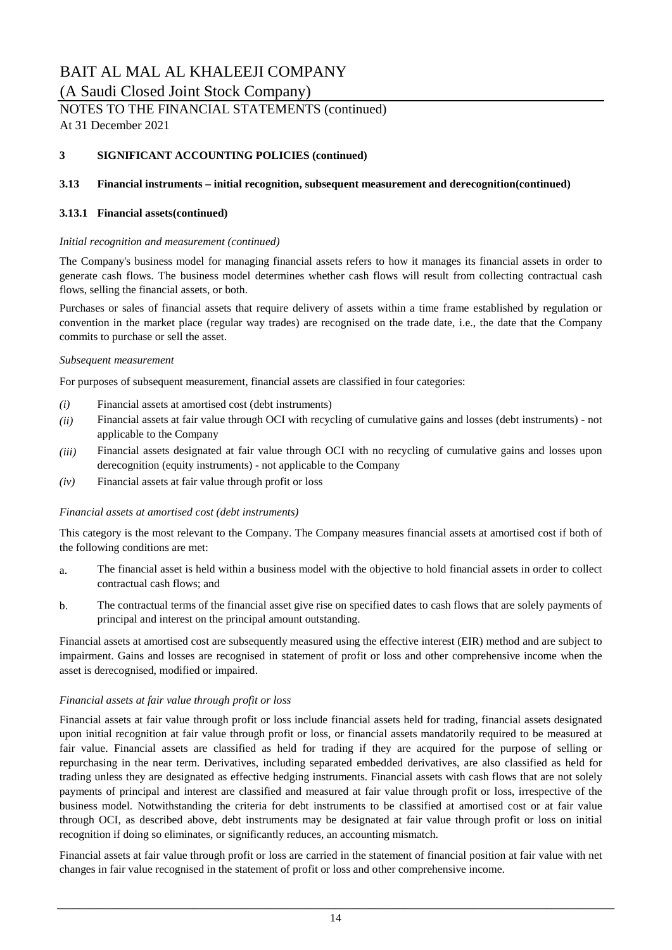# NOTES TO THE FINANCIAL STATEMENTS (continued)

At 31 December 2021

#### **3 SIGNIFICANT ACCOUNTING POLICIES (continued)**

#### **3.13 Financial instruments – initial recognition, subsequent measurement and derecognition(continued)**

#### **3.13.1 Financial assets(continued)**

#### *Initial recognition and measurement (continued)*

The Company's business model for managing financial assets refers to how it manages its financial assets in order to generate cash flows. The business model determines whether cash flows will result from collecting contractual cash flows, selling the financial assets, or both.

Purchases or sales of financial assets that require delivery of assets within a time frame established by regulation or convention in the market place (regular way trades) are recognised on the trade date, i.e., the date that the Company commits to purchase or sell the asset.

#### *Subsequent measurement*

For purposes of subsequent measurement, financial assets are classified in four categories:

- *(i)* Financial assets at amortised cost (debt instruments)
- *(ii)* Financial assets at fair value through OCI with recycling of cumulative gains and losses (debt instruments) - not applicable to the Company
- *(iii)* Financial assets designated at fair value through OCI with no recycling of cumulative gains and losses upon derecognition (equity instruments) - not applicable to the Company
- *(iv)* Financial assets at fair value through profit or loss

#### *Financial assets at amortised cost (debt instruments)*

This category is the most relevant to the Company. The Company measures financial assets at amortised cost if both of the following conditions are met:

- a. The financial asset is held within a business model with the objective to hold financial assets in order to collect contractual cash flows; and
- b. The contractual terms of the financial asset give rise on specified dates to cash flows that are solely payments of principal and interest on the principal amount outstanding.

Financial assets at amortised cost are subsequently measured using the effective interest (EIR) method and are subject to impairment. Gains and losses are recognised in statement of profit or loss and other comprehensive income when the asset is derecognised, modified or impaired.

#### *Financial assets at fair value through profit or loss*

Financial assets at fair value through profit or loss include financial assets held for trading, financial assets designated upon initial recognition at fair value through profit or loss, or financial assets mandatorily required to be measured at fair value. Financial assets are classified as held for trading if they are acquired for the purpose of selling or repurchasing in the near term. Derivatives, including separated embedded derivatives, are also classified as held for trading unless they are designated as effective hedging instruments. Financial assets with cash flows that are not solely payments of principal and interest are classified and measured at fair value through profit or loss, irrespective of the business model. Notwithstanding the criteria for debt instruments to be classified at amortised cost or at fair value through OCI, as described above, debt instruments may be designated at fair value through profit or loss on initial recognition if doing so eliminates, or significantly reduces, an accounting mismatch.

Financial assets at fair value through profit or loss are carried in the statement of financial position at fair value with net changes in fair value recognised in the statement of profit or loss and other comprehensive income.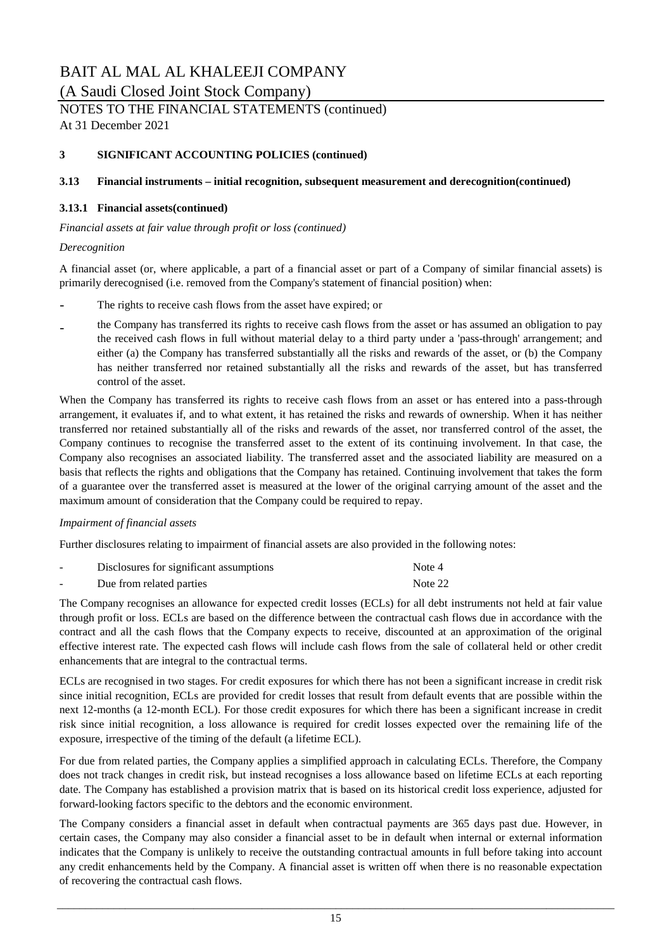# NOTES TO THE FINANCIAL STATEMENTS (continued)

At 31 December 2021

#### **3 SIGNIFICANT ACCOUNTING POLICIES (continued)**

#### **3.13 Financial instruments – initial recognition, subsequent measurement and derecognition(continued)**

#### **3.13.1 Financial assets(continued)**

*Financial assets at fair value through profit or loss (continued)*

#### *Derecognition*

A financial asset (or, where applicable, a part of a financial asset or part of a Company of similar financial assets) is primarily derecognised (i.e. removed from the Company's statement of financial position) when:

- The rights to receive cash flows from the asset have expired; or
- the Company has transferred its rights to receive cash flows from the asset or has assumed an obligation to pay the received cash flows in full without material delay to a third party under a 'pass-through' arrangement; and either (a) the Company has transferred substantially all the risks and rewards of the asset, or (b) the Company has neither transferred nor retained substantially all the risks and rewards of the asset, but has transferred control of the asset.

When the Company has transferred its rights to receive cash flows from an asset or has entered into a pass-through arrangement, it evaluates if, and to what extent, it has retained the risks and rewards of ownership. When it has neither transferred nor retained substantially all of the risks and rewards of the asset, nor transferred control of the asset, the Company continues to recognise the transferred asset to the extent of its continuing involvement. In that case, the Company also recognises an associated liability. The transferred asset and the associated liability are measured on a basis that reflects the rights and obligations that the Company has retained. Continuing involvement that takes the form of a guarantee over the transferred asset is measured at the lower of the original carrying amount of the asset and the maximum amount of consideration that the Company could be required to repay.

#### *Impairment of financial assets*

Further disclosures relating to impairment of financial assets are also provided in the following notes:

| $\sim$ | Disclosures for significant assumptions | Note 4  |
|--------|-----------------------------------------|---------|
| $\sim$ | Due from related parties                | Note 22 |

The Company recognises an allowance for expected credit losses (ECLs) for all debt instruments not held at fair value through profit or loss. ECLs are based on the difference between the contractual cash flows due in accordance with the contract and all the cash flows that the Company expects to receive, discounted at an approximation of the original effective interest rate. The expected cash flows will include cash flows from the sale of collateral held or other credit enhancements that are integral to the contractual terms.

ECLs are recognised in two stages. For credit exposures for which there has not been a significant increase in credit risk since initial recognition, ECLs are provided for credit losses that result from default events that are possible within the next 12-months (a 12-month ECL). For those credit exposures for which there has been a significant increase in credit risk since initial recognition, a loss allowance is required for credit losses expected over the remaining life of the exposure, irrespective of the timing of the default (a lifetime ECL).

For due from related parties, the Company applies a simplified approach in calculating ECLs. Therefore, the Company does not track changes in credit risk, but instead recognises a loss allowance based on lifetime ECLs at each reporting date. The Company has established a provision matrix that is based on its historical credit loss experience, adjusted for forward-looking factors specific to the debtors and the economic environment.

The Company considers a financial asset in default when contractual payments are 365 days past due. However, in certain cases, the Company may also consider a financial asset to be in default when internal or external information indicates that the Company is unlikely to receive the outstanding contractual amounts in full before taking into account any credit enhancements held by the Company. A financial asset is written off when there is no reasonable expectation of recovering the contractual cash flows.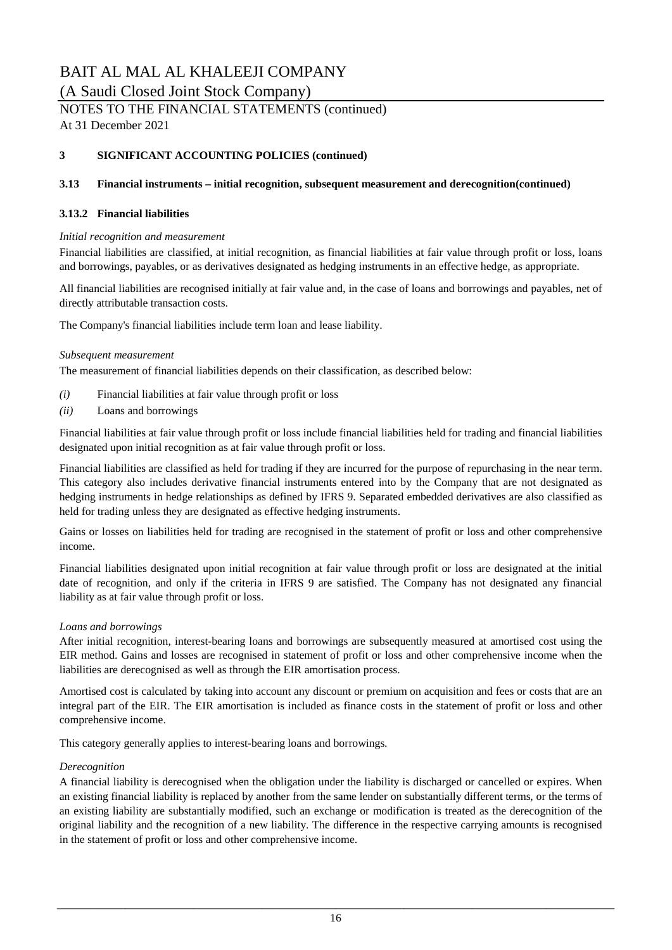# NOTES TO THE FINANCIAL STATEMENTS (continued)

At 31 December 2021

#### **3 SIGNIFICANT ACCOUNTING POLICIES (continued)**

#### **3.13 Financial instruments – initial recognition, subsequent measurement and derecognition(continued)**

#### **3.13.2 Financial liabilities**

#### *Initial recognition and measurement*

Financial liabilities are classified, at initial recognition, as financial liabilities at fair value through profit or loss, loans and borrowings, payables, or as derivatives designated as hedging instruments in an effective hedge, as appropriate.

All financial liabilities are recognised initially at fair value and, in the case of loans and borrowings and payables, net of directly attributable transaction costs.

The Company's financial liabilities include term loan and lease liability.

#### *Subsequent measurement*

The measurement of financial liabilities depends on their classification, as described below:

- *(i)* Financial liabilities at fair value through profit or loss
- *(ii)* Loans and borrowings

Financial liabilities at fair value through profit or loss include financial liabilities held for trading and financial liabilities designated upon initial recognition as at fair value through profit or loss.

Financial liabilities are classified as held for trading if they are incurred for the purpose of repurchasing in the near term. This category also includes derivative financial instruments entered into by the Company that are not designated as hedging instruments in hedge relationships as defined by IFRS 9. Separated embedded derivatives are also classified as held for trading unless they are designated as effective hedging instruments.

Gains or losses on liabilities held for trading are recognised in the statement of profit or loss and other comprehensive income.

Financial liabilities designated upon initial recognition at fair value through profit or loss are designated at the initial date of recognition, and only if the criteria in IFRS 9 are satisfied. The Company has not designated any financial liability as at fair value through profit or loss.

#### *Loans and borrowings*

After initial recognition, interest-bearing loans and borrowings are subsequently measured at amortised cost using the EIR method. Gains and losses are recognised in statement of profit or loss and other comprehensive income when the liabilities are derecognised as well as through the EIR amortisation process.

Amortised cost is calculated by taking into account any discount or premium on acquisition and fees or costs that are an integral part of the EIR. The EIR amortisation is included as finance costs in the statement of profit or loss and other comprehensive income.

This category generally applies to interest-bearing loans and borrowings.

#### *Derecognition*

A financial liability is derecognised when the obligation under the liability is discharged or cancelled or expires. When an existing financial liability is replaced by another from the same lender on substantially different terms, or the terms of an existing liability are substantially modified, such an exchange or modification is treated as the derecognition of the original liability and the recognition of a new liability. The difference in the respective carrying amounts is recognised in the statement of profit or loss and other comprehensive income.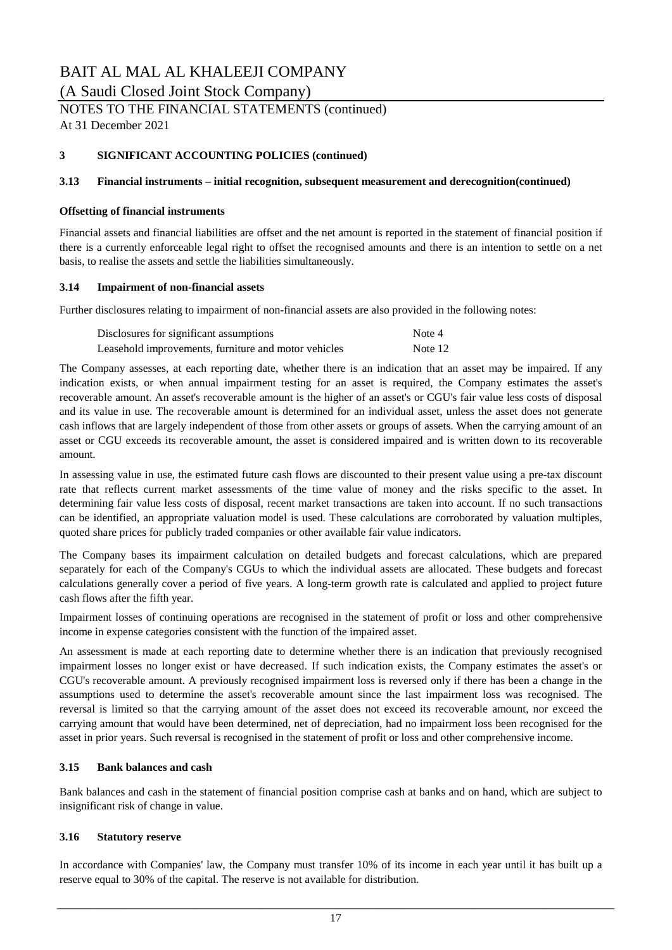# NOTES TO THE FINANCIAL STATEMENTS (continued)

At 31 December 2021

#### **3 SIGNIFICANT ACCOUNTING POLICIES (continued)**

#### **3.13 Financial instruments – initial recognition, subsequent measurement and derecognition(continued)**

#### **Offsetting of financial instruments**

Financial assets and financial liabilities are offset and the net amount is reported in the statement of financial position if there is a currently enforceable legal right to offset the recognised amounts and there is an intention to settle on a net basis, to realise the assets and settle the liabilities simultaneously.

#### **3.14 Impairment of non-financial assets**

Further disclosures relating to impairment of non-financial assets are also provided in the following notes:

| Disclosures for significant assumptions              | Note 4  |
|------------------------------------------------------|---------|
| Leasehold improvements, furniture and motor vehicles | Note 12 |

The Company assesses, at each reporting date, whether there is an indication that an asset may be impaired. If any indication exists, or when annual impairment testing for an asset is required, the Company estimates the asset's recoverable amount. An asset's recoverable amount is the higher of an asset's or CGU's fair value less costs of disposal and its value in use. The recoverable amount is determined for an individual asset, unless the asset does not generate cash inflows that are largely independent of those from other assets or groups of assets. When the carrying amount of an asset or CGU exceeds its recoverable amount, the asset is considered impaired and is written down to its recoverable amount.

In assessing value in use, the estimated future cash flows are discounted to their present value using a pre-tax discount rate that reflects current market assessments of the time value of money and the risks specific to the asset. In determining fair value less costs of disposal, recent market transactions are taken into account. If no such transactions can be identified, an appropriate valuation model is used. These calculations are corroborated by valuation multiples, quoted share prices for publicly traded companies or other available fair value indicators.

The Company bases its impairment calculation on detailed budgets and forecast calculations, which are prepared separately for each of the Company's CGUs to which the individual assets are allocated. These budgets and forecast calculations generally cover a period of five years. A long-term growth rate is calculated and applied to project future cash flows after the fifth year.

Impairment losses of continuing operations are recognised in the statement of profit or loss and other comprehensive income in expense categories consistent with the function of the impaired asset.

An assessment is made at each reporting date to determine whether there is an indication that previously recognised impairment losses no longer exist or have decreased. If such indication exists, the Company estimates the asset's or CGU's recoverable amount. A previously recognised impairment loss is reversed only if there has been a change in the assumptions used to determine the asset's recoverable amount since the last impairment loss was recognised. The reversal is limited so that the carrying amount of the asset does not exceed its recoverable amount, nor exceed the carrying amount that would have been determined, net of depreciation, had no impairment loss been recognised for the asset in prior years. Such reversal is recognised in the statement of profit or loss and other comprehensive income.

#### **3.15 Bank balances and cash**

Bank balances and cash in the statement of financial position comprise cash at banks and on hand, which are subject to insignificant risk of change in value.

#### **3.16 Statutory reserve**

In accordance with Companies' law, the Company must transfer 10% of its income in each year until it has built up a reserve equal to 30% of the capital. The reserve is not available for distribution.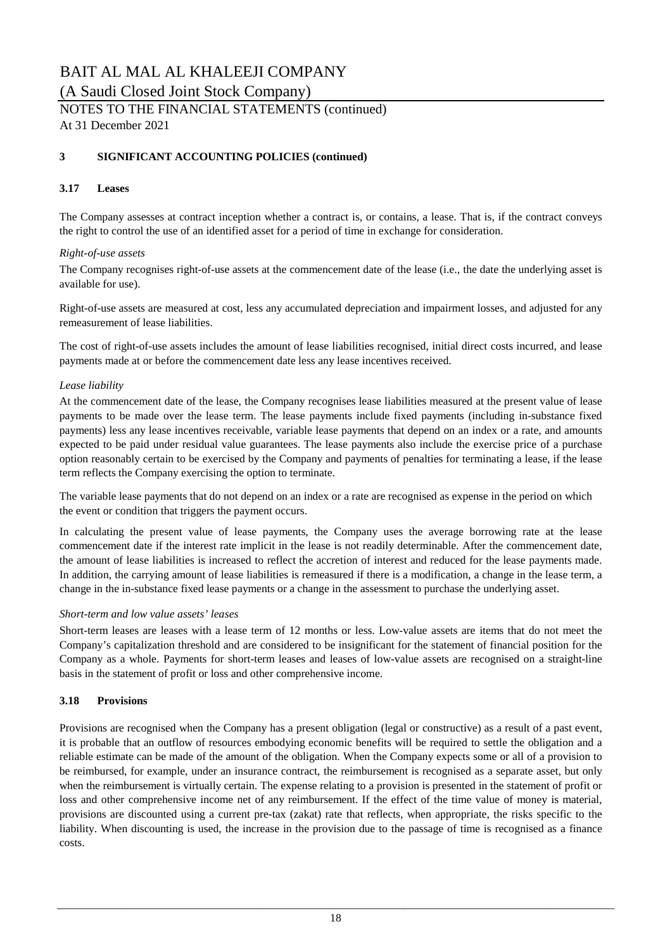#### At 31 December 2021 NOTES TO THE FINANCIAL STATEMENTS (continued)

#### **3 SIGNIFICANT ACCOUNTING POLICIES (continued)**

#### **3.17 Leases**

The Company assesses at contract inception whether a contract is, or contains, a lease. That is, if the contract conveys the right to control the use of an identified asset for a period of time in exchange for consideration.

#### *Right-of-use assets*

The Company recognises right-of-use assets at the commencement date of the lease (i.e., the date the underlying asset is available for use).

Right-of-use assets are measured at cost, less any accumulated depreciation and impairment losses, and adjusted for any remeasurement of lease liabilities.

The cost of right-of-use assets includes the amount of lease liabilities recognised, initial direct costs incurred, and lease payments made at or before the commencement date less any lease incentives received.

#### *Lease liability*

At the commencement date of the lease, the Company recognises lease liabilities measured at the present value of lease payments to be made over the lease term. The lease payments include fixed payments (including in-substance fixed payments) less any lease incentives receivable, variable lease payments that depend on an index or a rate, and amounts expected to be paid under residual value guarantees. The lease payments also include the exercise price of a purchase option reasonably certain to be exercised by the Company and payments of penalties for terminating a lease, if the lease term reflects the Company exercising the option to terminate.

The variable lease payments that do not depend on an index or a rate are recognised as expense in the period on which the event or condition that triggers the payment occurs.

In calculating the present value of lease payments, the Company uses the average borrowing rate at the lease commencement date if the interest rate implicit in the lease is not readily determinable. After the commencement date, the amount of lease liabilities is increased to reflect the accretion of interest and reduced for the lease payments made. In addition, the carrying amount of lease liabilities is remeasured if there is a modification, a change in the lease term, a change in the in-substance fixed lease payments or a change in the assessment to purchase the underlying asset.

#### *Short-term and low value assets' leases*

Short-term leases are leases with a lease term of 12 months or less. Low-value assets are items that do not meet the Company's capitalization threshold and are considered to be insignificant for the statement of financial position for the Company as a whole. Payments for short-term leases and leases of low-value assets are recognised on a straight-line basis in the statement of profit or loss and other comprehensive income.

#### **3.18 Provisions**

Provisions are recognised when the Company has a present obligation (legal or constructive) as a result of a past event, it is probable that an outflow of resources embodying economic benefits will be required to settle the obligation and a reliable estimate can be made of the amount of the obligation. When the Company expects some or all of a provision to be reimbursed, for example, under an insurance contract, the reimbursement is recognised as a separate asset, but only when the reimbursement is virtually certain. The expense relating to a provision is presented in the statement of profit or loss and other comprehensive income net of any reimbursement. If the effect of the time value of money is material, provisions are discounted using a current pre-tax (zakat) rate that reflects, when appropriate, the risks specific to the liability. When discounting is used, the increase in the provision due to the passage of time is recognised as a finance costs.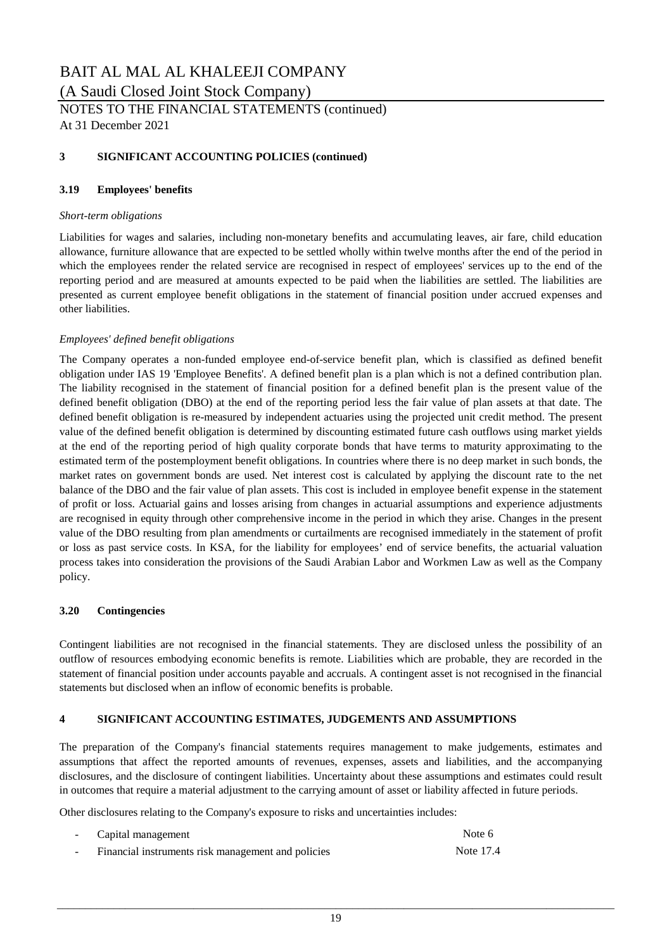### BAIT AL MAL AL KHALEEJI COMPANY (A Saudi Closed Joint Stock Company) NOTES TO THE FINANCIAL STATEMENTS (continued)

At 31 December 2021

#### **3 SIGNIFICANT ACCOUNTING POLICIES (continued)**

#### **3.19 Employees' benefits**

#### *Short-term obligations*

Liabilities for wages and salaries, including non-monetary benefits and accumulating leaves, air fare, child education allowance, furniture allowance that are expected to be settled wholly within twelve months after the end of the period in which the employees render the related service are recognised in respect of employees' services up to the end of the reporting period and are measured at amounts expected to be paid when the liabilities are settled. The liabilities are presented as current employee benefit obligations in the statement of financial position under accrued expenses and other liabilities.

#### *Employees' defined benefit obligations*

The Company operates a non-funded employee end-of-service benefit plan, which is classified as defined benefit obligation under IAS 19 'Employee Benefits'. A defined benefit plan is a plan which is not a defined contribution plan. The liability recognised in the statement of financial position for a defined benefit plan is the present value of the defined benefit obligation (DBO) at the end of the reporting period less the fair value of plan assets at that date. The defined benefit obligation is re-measured by independent actuaries using the projected unit credit method. The present value of the defined benefit obligation is determined by discounting estimated future cash outflows using market yields at the end of the reporting period of high quality corporate bonds that have terms to maturity approximating to the estimated term of the postemployment benefit obligations. In countries where there is no deep market in such bonds, the market rates on government bonds are used. Net interest cost is calculated by applying the discount rate to the net balance of the DBO and the fair value of plan assets. This cost is included in employee benefit expense in the statement of profit or loss. Actuarial gains and losses arising from changes in actuarial assumptions and experience adjustments are recognised in equity through other comprehensive income in the period in which they arise. Changes in the present value of the DBO resulting from plan amendments or curtailments are recognised immediately in the statement of profit or loss as past service costs. In KSA, for the liability for employees' end of service benefits, the actuarial valuation process takes into consideration the provisions of the Saudi Arabian Labor and Workmen Law as well as the Company policy.

#### **3.20 Contingencies**

Contingent liabilities are not recognised in the financial statements. They are disclosed unless the possibility of an outflow of resources embodying economic benefits is remote. Liabilities which are probable, they are recorded in the statement of financial position under accounts payable and accruals. A contingent asset is not recognised in the financial statements but disclosed when an inflow of economic benefits is probable.

#### **4 SIGNIFICANT ACCOUNTING ESTIMATES, JUDGEMENTS AND ASSUMPTIONS**

The preparation of the Company's financial statements requires management to make judgements, estimates and assumptions that affect the reported amounts of revenues, expenses, assets and liabilities, and the accompanying disclosures, and the disclosure of contingent liabilities. Uncertainty about these assumptions and estimates could result in outcomes that require a material adjustment to the carrying amount of asset or liability affected in future periods.

Other disclosures relating to the Company's exposure to risks and uncertainties includes:

| - Capital management                               | Note 6    |
|----------------------------------------------------|-----------|
| Financial instruments risk management and policies | Note 17.4 |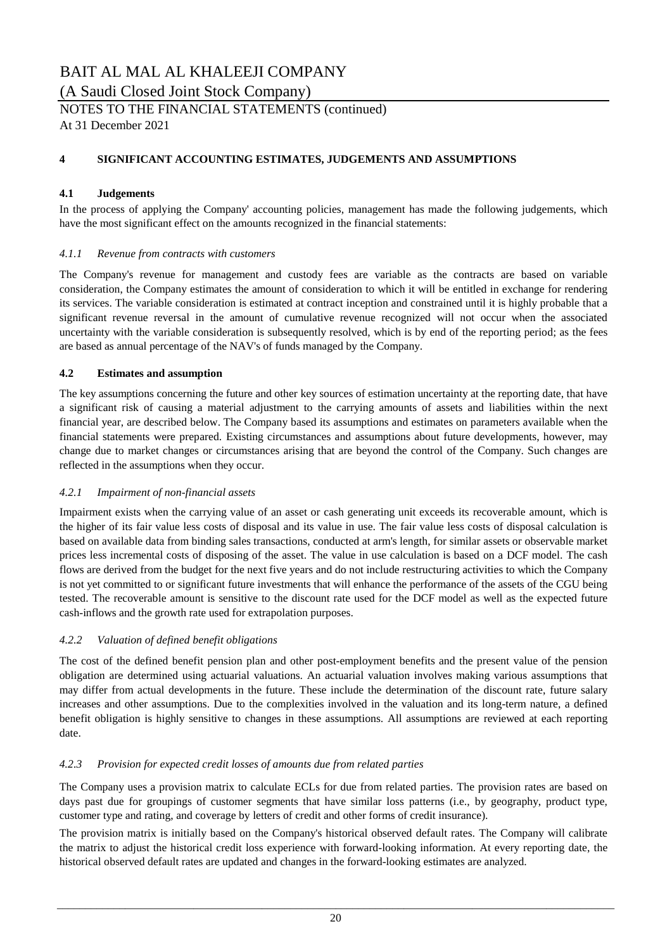(A Saudi Closed Joint Stock Company)

NOTES TO THE FINANCIAL STATEMENTS (continued)

At 31 December 2021

#### **4 SIGNIFICANT ACCOUNTING ESTIMATES, JUDGEMENTS AND ASSUMPTIONS**

#### **4.1 Judgements**

In the process of applying the Company' accounting policies, management has made the following judgements, which have the most significant effect on the amounts recognized in the financial statements:

#### *4.1.1 Revenue from contracts with customers*

The Company's revenue for management and custody fees are variable as the contracts are based on variable consideration, the Company estimates the amount of consideration to which it will be entitled in exchange for rendering its services. The variable consideration is estimated at contract inception and constrained until it is highly probable that a significant revenue reversal in the amount of cumulative revenue recognized will not occur when the associated uncertainty with the variable consideration is subsequently resolved, which is by end of the reporting period; as the fees are based as annual percentage of the NAV's of funds managed by the Company.

#### **4.2 Estimates and assumption**

The key assumptions concerning the future and other key sources of estimation uncertainty at the reporting date, that have a significant risk of causing a material adjustment to the carrying amounts of assets and liabilities within the next financial year, are described below. The Company based its assumptions and estimates on parameters available when the financial statements were prepared. Existing circumstances and assumptions about future developments, however, may change due to market changes or circumstances arising that are beyond the control of the Company. Such changes are reflected in the assumptions when they occur.

#### *4.2.1 Impairment of non-financial assets*

Impairment exists when the carrying value of an asset or cash generating unit exceeds its recoverable amount, which is the higher of its fair value less costs of disposal and its value in use. The fair value less costs of disposal calculation is based on available data from binding sales transactions, conducted at arm's length, for similar assets or observable market prices less incremental costs of disposing of the asset. The value in use calculation is based on a DCF model. The cash flows are derived from the budget for the next five years and do not include restructuring activities to which the Company is not yet committed to or significant future investments that will enhance the performance of the assets of the CGU being tested. The recoverable amount is sensitive to the discount rate used for the DCF model as well as the expected future cash-inflows and the growth rate used for extrapolation purposes.

#### *4.2.2 Valuation of defined benefit obligations*

The cost of the defined benefit pension plan and other post-employment benefits and the present value of the pension obligation are determined using actuarial valuations. An actuarial valuation involves making various assumptions that may differ from actual developments in the future. These include the determination of the discount rate, future salary increases and other assumptions. Due to the complexities involved in the valuation and its long-term nature, a defined benefit obligation is highly sensitive to changes in these assumptions. All assumptions are reviewed at each reporting date.

#### *4.2.3 Provision for expected credit losses of amounts due from related parties*

The Company uses a provision matrix to calculate ECLs for due from related parties. The provision rates are based on days past due for groupings of customer segments that have similar loss patterns (i.e., by geography, product type, customer type and rating, and coverage by letters of credit and other forms of credit insurance).

The provision matrix is initially based on the Company's historical observed default rates. The Company will calibrate the matrix to adjust the historical credit loss experience with forward-looking information. At every reporting date, the historical observed default rates are updated and changes in the forward-looking estimates are analyzed.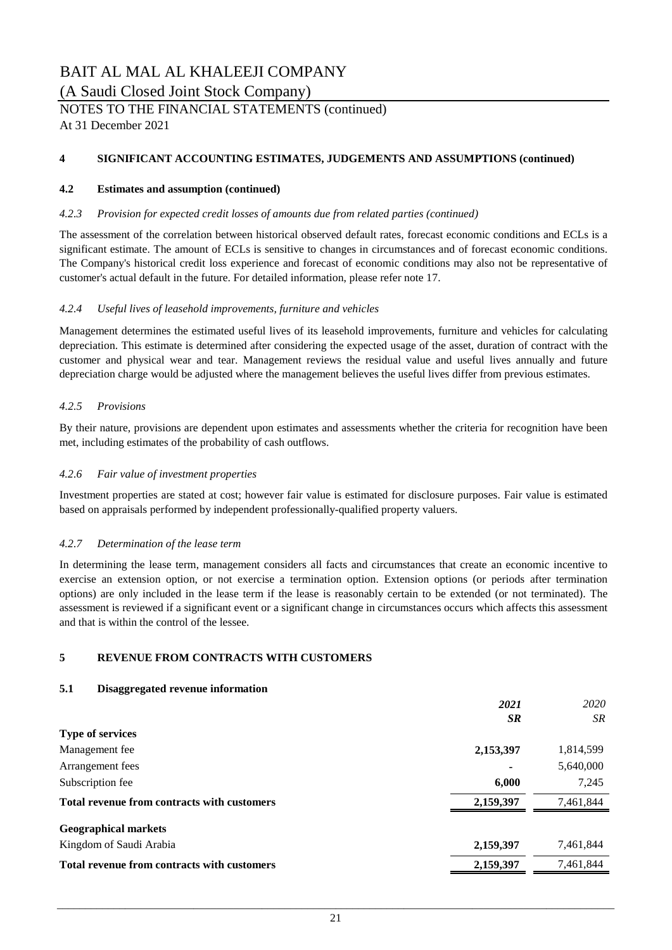NOTES TO THE FINANCIAL STATEMENTS (continued)

At 31 December 2021

#### **4 SIGNIFICANT ACCOUNTING ESTIMATES, JUDGEMENTS AND ASSUMPTIONS (continued)**

#### **4.2 Estimates and assumption (continued)**

#### *4.2.3 Provision for expected credit losses of amounts due from related parties (continued)*

The assessment of the correlation between historical observed default rates, forecast economic conditions and ECLs is a significant estimate. The amount of ECLs is sensitive to changes in circumstances and of forecast economic conditions. The Company's historical credit loss experience and forecast of economic conditions may also not be representative of customer's actual default in the future. For detailed information, please refer note 17.

#### *4.2.4 Useful lives of leasehold improvements, furniture and vehicles*

Management determines the estimated useful lives of its leasehold improvements, furniture and vehicles for calculating depreciation. This estimate is determined after considering the expected usage of the asset, duration of contract with the customer and physical wear and tear. Management reviews the residual value and useful lives annually and future depreciation charge would be adjusted where the management believes the useful lives differ from previous estimates.

#### *4.2.5 Provisions*

By their nature, provisions are dependent upon estimates and assessments whether the criteria for recognition have been met, including estimates of the probability of cash outflows.

#### *4.2.6 Fair value of investment properties*

Investment properties are stated at cost; however fair value is estimated for disclosure purposes. Fair value is estimated based on appraisals performed by independent professionally-qualified property valuers.

#### *4.2.7 Determination of the lease term*

In determining the lease term, management considers all facts and circumstances that create an economic incentive to exercise an extension option, or not exercise a termination option. Extension options (or periods after termination options) are only included in the lease term if the lease is reasonably certain to be extended (or not terminated). The assessment is reviewed if a significant event or a significant change in circumstances occurs which affects this assessment and that is within the control of the lessee.

#### **5 REVENUE FROM CONTRACTS WITH CUSTOMERS**

#### **5.1 Disaggregated revenue information**

|                                                    | 2021      | 2020      |
|----------------------------------------------------|-----------|-----------|
|                                                    | <b>SR</b> | SR.       |
| <b>Type of services</b>                            |           |           |
| Management fee                                     | 2,153,397 | 1,814,599 |
| Arrangement fees                                   |           | 5,640,000 |
| Subscription fee                                   | 6,000     | 7,245     |
| <b>Total revenue from contracts with customers</b> | 2,159,397 | 7,461,844 |
| <b>Geographical markets</b>                        |           |           |
| Kingdom of Saudi Arabia                            | 2,159,397 | 7,461,844 |
| <b>Total revenue from contracts with customers</b> | 2,159,397 | 7,461,844 |
|                                                    |           |           |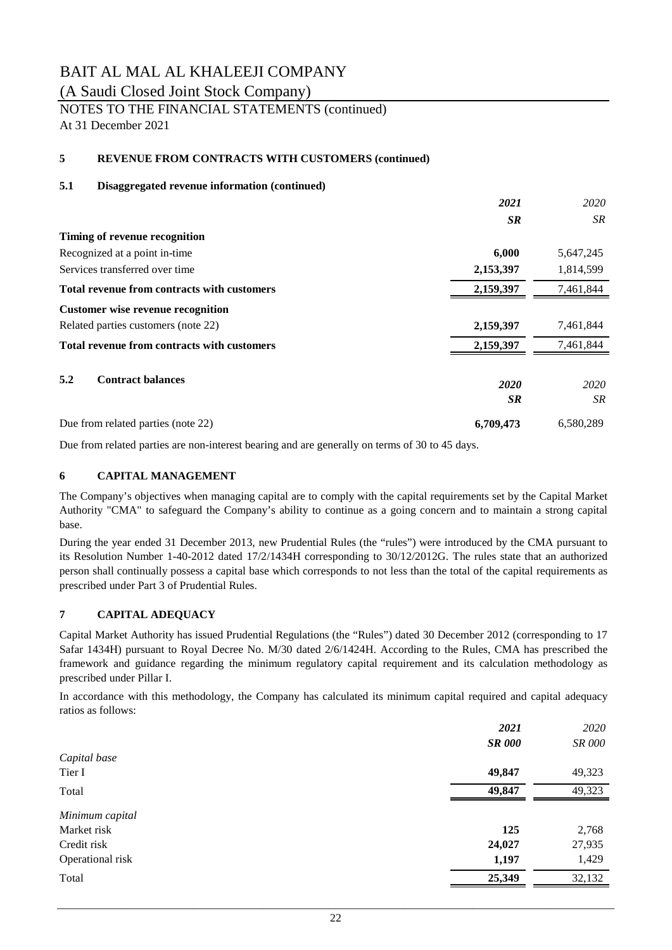### (A Saudi Closed Joint Stock Company)

### NOTES TO THE FINANCIAL STATEMENTS (continued)

At 31 December 2021

#### **5 REVENUE FROM CONTRACTS WITH CUSTOMERS (continued)**

#### **5.1 Disaggregated revenue information (continued)**

|                                                    | 2021      | 2020      |
|----------------------------------------------------|-----------|-----------|
|                                                    | <b>SR</b> | SR.       |
| Timing of revenue recognition                      |           |           |
| Recognized at a point in-time                      | 6,000     | 5,647,245 |
| Services transferred over time                     | 2,153,397 | 1,814,599 |
| <b>Total revenue from contracts with customers</b> | 2,159,397 | 7,461,844 |
| <b>Customer wise revenue recognition</b>           |           |           |
| Related parties customers (note 22)                | 2,159,397 | 7,461,844 |
| <b>Total revenue from contracts with customers</b> | 2,159,397 | 7,461,844 |
| 5.2<br><b>Contract balances</b>                    | 2020      | 2020      |
|                                                    | <b>SR</b> | SR.       |
| Due from related parties (note 22)                 | 6,709,473 | 6,580,289 |

Due from related parties are non-interest bearing and are generally on terms of 30 to 45 days.

#### **6 CAPITAL MANAGEMENT**

The Company's objectives when managing capital are to comply with the capital requirements set by the Capital Market Authority "CMA" to safeguard the Company's ability to continue as a going concern and to maintain a strong capital base.

During the year ended 31 December 2013, new Prudential Rules (the "rules") were introduced by the CMA pursuant to its Resolution Number 1-40-2012 dated 17/2/1434H corresponding to 30/12/2012G. The rules state that an authorized person shall continually possess a capital base which corresponds to not less than the total of the capital requirements as prescribed under Part 3 of Prudential Rules.

#### **7 CAPITAL ADEQUACY**

Capital Market Authority has issued Prudential Regulations (the "Rules") dated 30 December 2012 (corresponding to 17 Safar 1434H) pursuant to Royal Decree No. M/30 dated 2/6/1424H. According to the Rules, CMA has prescribed the framework and guidance regarding the minimum regulatory capital requirement and its calculation methodology as prescribed under Pillar I.

In accordance with this methodology, the Company has calculated its minimum capital required and capital adequacy ratios as follows:

|                  | 2021          | 2020          |
|------------------|---------------|---------------|
|                  | <b>SR 000</b> | <i>SR 000</i> |
| Capital base     |               |               |
| Tier I           | 49,847        | 49,323        |
| Total            | 49,847        | 49,323        |
| Minimum capital  |               |               |
| Market risk      | 125           | 2,768         |
| Credit risk      | 24,027        | 27,935        |
| Operational risk | 1,197         | 1,429         |
| Total            | 25,349        | 32,132        |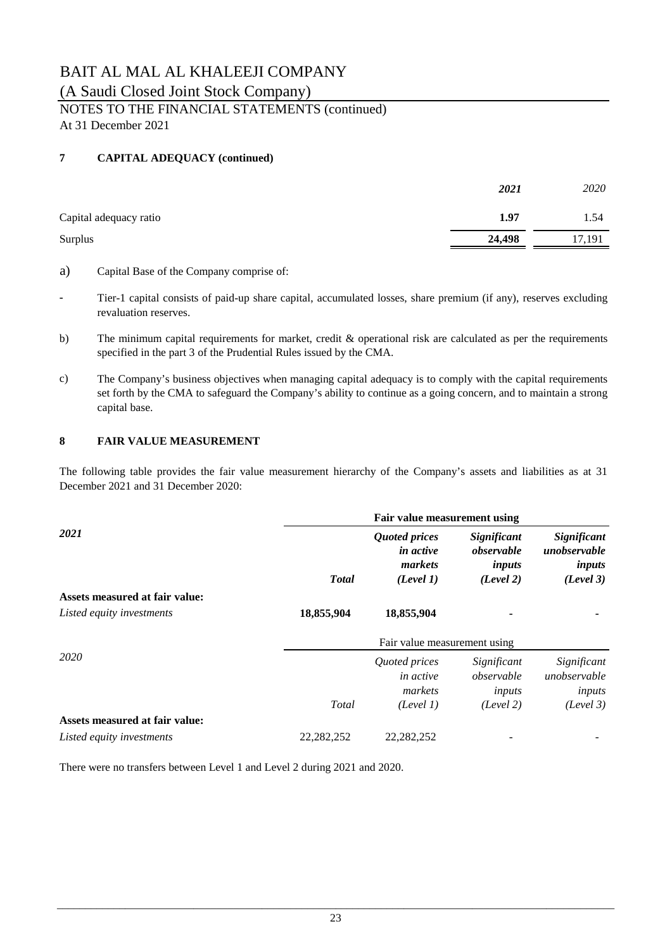(A Saudi Closed Joint Stock Company)

### At 31 December 2021 NOTES TO THE FINANCIAL STATEMENTS (continued)

#### **7 CAPITAL ADEQUACY (continued)**

|                        | 2021   | 2020   |
|------------------------|--------|--------|
| Capital adequacy ratio | 1.97   | 1.54   |
| Surplus                | 24,498 | 17,191 |

a) Capital Base of the Company comprise of:

- **-** Tier-1 capital consists of paid-up share capital, accumulated losses, share premium (if any), reserves excluding revaluation reserves.
- b) The minimum capital requirements for market, credit  $\&$  operational risk are calculated as per the requirements specified in the part 3 of the Prudential Rules issued by the CMA.
- c) The Company's business objectives when managing capital adequacy is to comply with the capital requirements set forth by the CMA to safeguard the Company's ability to continue as a going concern, and to maintain a strong capital base.

#### **8 FAIR VALUE MEASUREMENT**

The following table provides the fair value measurement hierarchy of the Company's assets and liabilities as at 31 December 2021 and 31 December 2020:

|                                       | Fair value measurement using |                                                                  |                                                  |                                                    |
|---------------------------------------|------------------------------|------------------------------------------------------------------|--------------------------------------------------|----------------------------------------------------|
| 2021                                  | <b>Total</b>                 | <b>Quoted prices</b><br><i>in active</i><br>markets<br>(Level 1) | Significant<br>observable<br>inputs<br>(Level 2) | Significant<br>unobservable<br>inputs<br>(Level 3) |
| <b>Assets measured at fair value:</b> |                              |                                                                  |                                                  |                                                    |
| Listed equity investments             | 18,855,904                   | 18,855,904                                                       |                                                  |                                                    |
|                                       |                              | Fair value measurement using                                     |                                                  |                                                    |
| 2020                                  | Total                        | Quoted prices<br><i>in active</i><br>markets<br>(Level 1)        | Significant<br>observable<br>inputs<br>(Level 2) | Significant<br>unobservable<br>inputs              |
|                                       |                              |                                                                  |                                                  | (Level 3)                                          |
| <b>Assets measured at fair value:</b> |                              |                                                                  |                                                  |                                                    |
| Listed equity investments             | 22, 282, 252                 | 22, 282, 252                                                     |                                                  |                                                    |

There were no transfers between Level 1 and Level 2 during 2021 and 2020.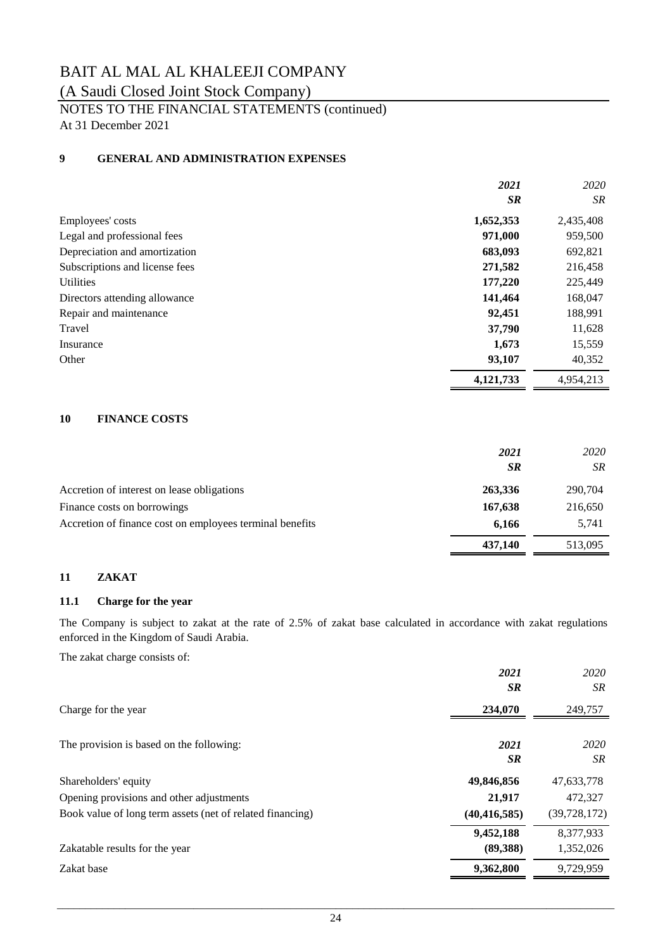### (A Saudi Closed Joint Stock Company)

At 31 December 2021 NOTES TO THE FINANCIAL STATEMENTS (continued)

#### **9 GENERAL AND ADMINISTRATION EXPENSES**

|                                | 2021      | 2020      |
|--------------------------------|-----------|-----------|
|                                | <b>SR</b> | SR.       |
| Employees' costs               | 1,652,353 | 2,435,408 |
| Legal and professional fees    | 971,000   | 959,500   |
| Depreciation and amortization  | 683,093   | 692,821   |
| Subscriptions and license fees | 271,582   | 216,458   |
| <b>Utilities</b>               | 177,220   | 225,449   |
| Directors attending allowance  | 141,464   | 168,047   |
| Repair and maintenance         | 92,451    | 188,991   |
| Travel                         | 37,790    | 11,628    |
| Insurance                      | 1,673     | 15,559    |
| Other                          | 93,107    | 40,352    |
|                                | 4,121,733 | 4,954,213 |

#### **10 FINANCE COSTS**

|                                                          | 2021      | 2020    |
|----------------------------------------------------------|-----------|---------|
|                                                          | <b>SR</b> | SR.     |
| Accretion of interest on lease obligations               | 263,336   | 290,704 |
| Finance costs on borrowings                              | 167,638   | 216,650 |
| Accretion of finance cost on employees terminal benefits | 6.166     | 5,741   |
|                                                          | 437,140   | 513,095 |

#### **11 ZAKAT**

#### **11.1 Charge for the year**

The Company is subject to zakat at the rate of 2.5% of zakat base calculated in accordance with zakat regulations enforced in the Kingdom of Saudi Arabia.

The zakat charge consists of:

|                                                           | 2021           | 2020           |
|-----------------------------------------------------------|----------------|----------------|
|                                                           | <b>SR</b>      | SR.            |
| Charge for the year                                       | 234,070        | 249,757        |
|                                                           |                |                |
| The provision is based on the following:                  | 2021           | 2020           |
|                                                           | <b>SR</b>      | SR.            |
| Shareholders' equity                                      | 49,846,856     | 47,633,778     |
| Opening provisions and other adjustments                  | 21,917         | 472,327        |
| Book value of long term assets (net of related financing) | (40, 416, 585) | (39, 728, 172) |
|                                                           | 9,452,188      | 8,377,933      |
| Zakatable results for the year                            | (89, 388)      | 1,352,026      |
| Zakat base                                                | 9,362,800      | 9,729,959      |
|                                                           |                |                |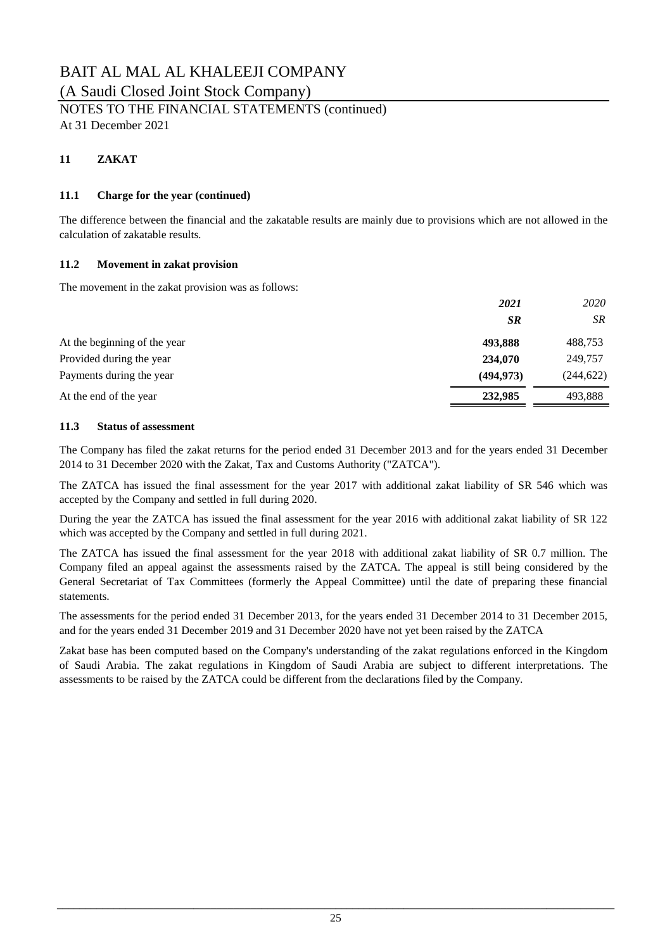## NOTES TO THE FINANCIAL STATEMENTS (continued)

At 31 December 2021

#### **11 ZAKAT**

#### **11.1 Charge for the year (continued)**

The difference between the financial and the zakatable results are mainly due to provisions which are not allowed in the calculation of zakatable results.

#### **11.2 Movement in zakat provision**

The movement in the zakat provision was as follows:

|                              | 2021       | 2020       |
|------------------------------|------------|------------|
|                              | <b>SR</b>  | SR.        |
| At the beginning of the year | 493,888    | 488,753    |
| Provided during the year     | 234,070    | 249,757    |
| Payments during the year     | (494, 973) | (244, 622) |
| At the end of the year       | 232,985    | 493,888    |

#### **11.3 Status of assessment**

The Company has filed the zakat returns for the period ended 31 December 2013 and for the years ended 31 December 2014 to 31 December 2020 with the Zakat, Tax and Customs Authority ("ZATCA").

The ZATCA has issued the final assessment for the year 2017 with additional zakat liability of SR 546 which was accepted by the Company and settled in full during 2020.

During the year the ZATCA has issued the final assessment for the year 2016 with additional zakat liability of SR 122 which was accepted by the Company and settled in full during 2021.

The ZATCA has issued the final assessment for the year 2018 with additional zakat liability of SR 0.7 million. The Company filed an appeal against the assessments raised by the ZATCA. The appeal is still being considered by the General Secretariat of Tax Committees (formerly the Appeal Committee) until the date of preparing these financial statements.

The assessments for the period ended 31 December 2013, for the years ended 31 December 2014 to 31 December 2015, and for the years ended 31 December 2019 and 31 December 2020 have not yet been raised by the ZATCA

Zakat base has been computed based on the Company's understanding of the zakat regulations enforced in the Kingdom of Saudi Arabia. The zakat regulations in Kingdom of Saudi Arabia are subject to different interpretations. The assessments to be raised by the ZATCA could be different from the declarations filed by the Company.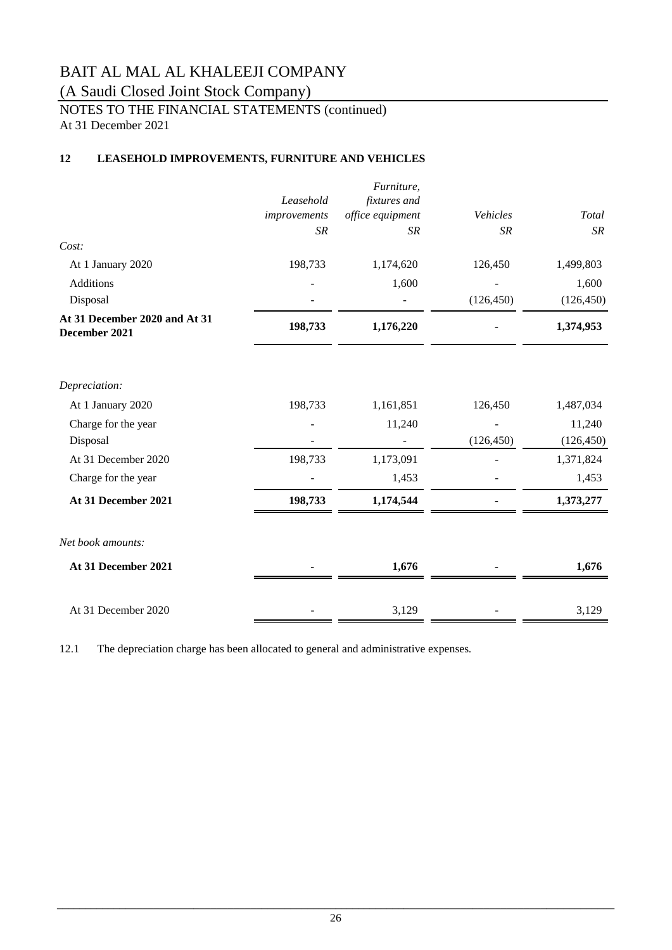### NOTES TO THE FINANCIAL STATEMENTS (continued) At 31 December 2021

#### **12 LEASEHOLD IMPROVEMENTS, FURNITURE AND VEHICLES**

|                                                |              | Furniture,       |            |             |
|------------------------------------------------|--------------|------------------|------------|-------------|
|                                                | Leasehold    | fixtures and     |            |             |
|                                                | improvements | office equipment | Vehicles   | Total       |
|                                                | ${\cal SR}$  | ${\cal SR}$      | SR         | ${\cal SR}$ |
| Cost:                                          |              |                  |            |             |
| At 1 January 2020                              | 198,733      | 1,174,620        | 126,450    | 1,499,803   |
| Additions                                      |              | 1,600            |            | 1,600       |
| Disposal                                       |              |                  | (126, 450) | (126, 450)  |
| At 31 December 2020 and At 31<br>December 2021 | 198,733      | 1,176,220        |            | 1,374,953   |
|                                                |              |                  |            |             |
| Depreciation:                                  |              |                  |            |             |
| At 1 January 2020                              | 198,733      | 1,161,851        | 126,450    | 1,487,034   |
| Charge for the year                            |              | 11,240           |            | 11,240      |
| Disposal                                       |              |                  | (126, 450) | (126, 450)  |
| At 31 December 2020                            | 198,733      | 1,173,091        |            | 1,371,824   |
| Charge for the year                            |              | 1,453            |            | 1,453       |
| At 31 December 2021                            | 198,733      | 1,174,544        |            | 1,373,277   |
| Net book amounts:                              |              |                  |            |             |
| At 31 December 2021                            |              | 1,676            |            | 1,676       |
| At 31 December 2020                            |              | 3,129            |            | 3,129       |

12.1 The depreciation charge has been allocated to general and administrative expenses.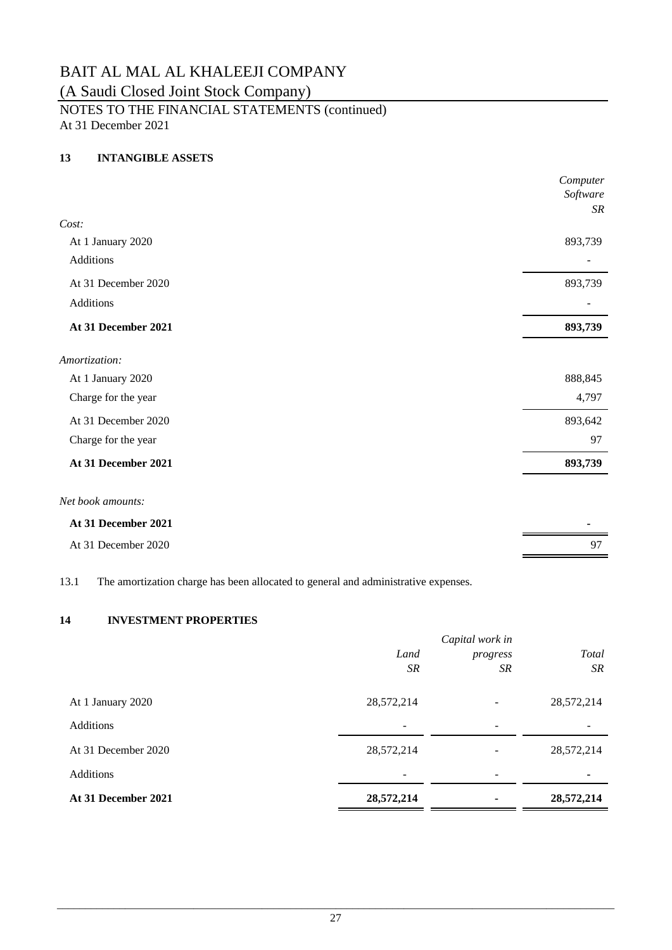### NOTES TO THE FINANCIAL STATEMENTS (continued) At 31 December 2021

### **13 INTANGIBLE ASSETS**

|                     | Computer |
|---------------------|----------|
|                     | Software |
|                     | SR       |
| Cost:               |          |
| At 1 January 2020   | 893,739  |
| Additions           |          |
| At 31 December 2020 | 893,739  |
| Additions           |          |
| At 31 December 2021 | 893,739  |
| Amortization:       |          |
| At 1 January 2020   | 888,845  |
| Charge for the year | 4,797    |
| At 31 December 2020 | 893,642  |
| Charge for the year | 97       |
| At 31 December 2021 | 893,739  |
| Net book amounts:   |          |
| At 31 December 2021 |          |
| At 31 December 2020 | 97       |

13.1 The amortization charge has been allocated to general and administrative expenses.

#### **14 INVESTMENT PROPERTIES**

|                     | Capital work in |           |            |
|---------------------|-----------------|-----------|------------|
|                     | Land            | progress  | Total      |
|                     | <b>SR</b>       | <b>SR</b> | SR         |
| At 1 January 2020   | 28,572,214      |           | 28,572,214 |
| <b>Additions</b>    |                 |           |            |
| At 31 December 2020 | 28,572,214      |           | 28,572,214 |
| <b>Additions</b>    |                 |           |            |
| At 31 December 2021 | 28,572,214      |           | 28,572,214 |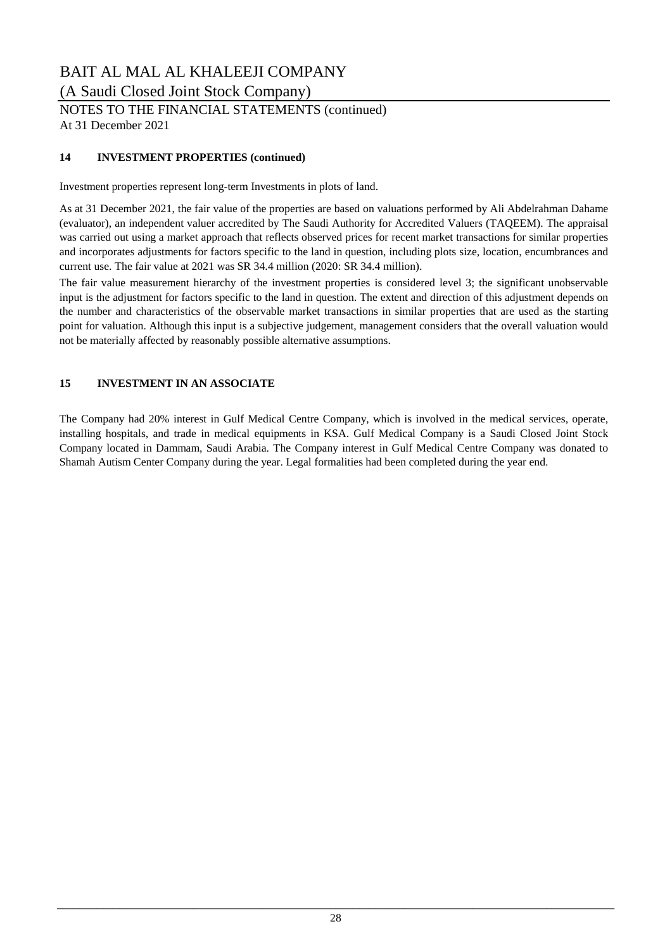#### NOTES TO THE FINANCIAL STATEMENTS (continued) At 31 December 2021

#### **14 INVESTMENT PROPERTIES (continued)**

Investment properties represent long-term Investments in plots of land.

As at 31 December 2021, the fair value of the properties are based on valuations performed by Ali Abdelrahman Dahame (evaluator), an independent valuer accredited by The Saudi Authority for Accredited Valuers (TAQEEM). The appraisal was carried out using a market approach that reflects observed prices for recent market transactions for similar properties and incorporates adjustments for factors specific to the land in question, including plots size, location, encumbrances and current use. The fair value at 2021 was SR 34.4 million (2020: SR 34.4 million).

The fair value measurement hierarchy of the investment properties is considered level 3; the significant unobservable input is the adjustment for factors specific to the land in question. The extent and direction of this adjustment depends on the number and characteristics of the observable market transactions in similar properties that are used as the starting point for valuation. Although this input is a subjective judgement, management considers that the overall valuation would not be materially affected by reasonably possible alternative assumptions.

#### **15 INVESTMENT IN AN ASSOCIATE**

The Company had 20% interest in Gulf Medical Centre Company, which is involved in the medical services, operate, installing hospitals, and trade in medical equipments in KSA. Gulf Medical Company is a Saudi Closed Joint Stock Company located in Dammam, Saudi Arabia. The Company interest in Gulf Medical Centre Company was donated to Shamah Autism Center Company during the year. Legal formalities had been completed during the year end.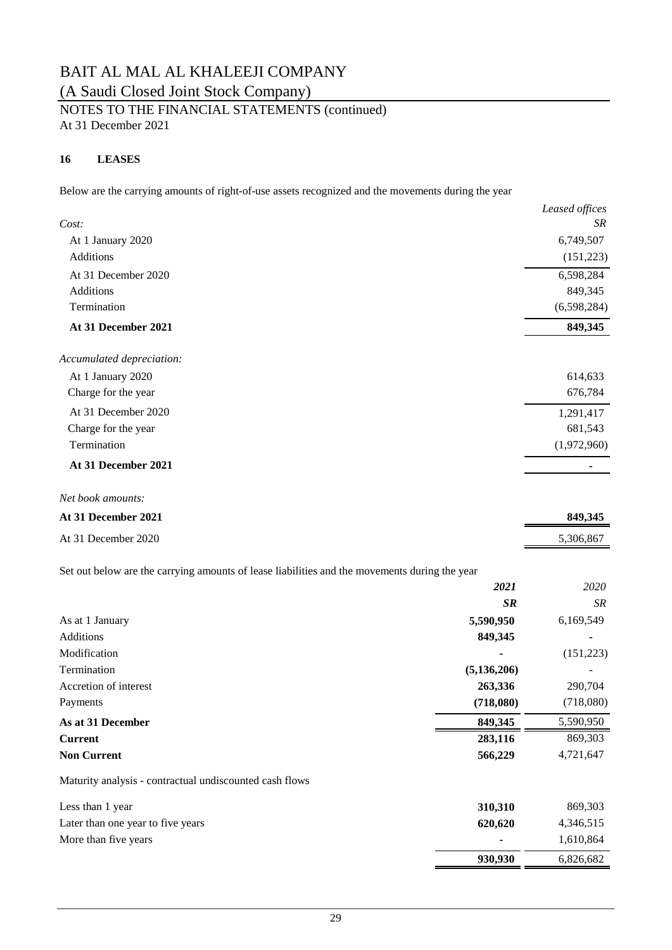### NOTES TO THE FINANCIAL STATEMENTS (continued) At 31 December 2021

#### **16 LEASES**

Below are the carrying amounts of right-of-use assets recognized and the movements during the year

| Cost:                                                                                         |               | Leased offices<br>SR |
|-----------------------------------------------------------------------------------------------|---------------|----------------------|
| At 1 January 2020                                                                             |               | 6,749,507            |
| Additions                                                                                     |               | (151, 223)           |
| At 31 December 2020                                                                           |               | 6,598,284            |
| <b>Additions</b>                                                                              |               | 849,345              |
| Termination                                                                                   |               | (6,598,284)          |
| At 31 December 2021                                                                           |               | 849,345              |
| Accumulated depreciation:                                                                     |               |                      |
| At 1 January 2020                                                                             |               | 614,633              |
| Charge for the year                                                                           |               | 676,784              |
| At 31 December 2020                                                                           |               | 1,291,417            |
| Charge for the year                                                                           |               | 681,543              |
| Termination                                                                                   |               | (1,972,960)          |
| At 31 December 2021                                                                           |               |                      |
| Net book amounts:                                                                             |               |                      |
| At 31 December 2021                                                                           |               | 849,345              |
| At 31 December 2020                                                                           |               | 5,306,867            |
| Set out below are the carrying amounts of lease liabilities and the movements during the year |               |                      |
|                                                                                               | 2021          | 2020                 |
|                                                                                               | $S_{I\!\!R}$  | SR                   |
| As at 1 January                                                                               | 5,590,950     | 6,169,549            |
| Additions                                                                                     | 849,345       |                      |
| Modification                                                                                  |               | (151, 223)           |
| Termination                                                                                   | (5, 136, 206) |                      |
| Accretion of interest                                                                         | 263,336       | 290,704              |
| Payments                                                                                      | (718,080)     | (718,080)            |
| As at 31 December                                                                             | 849,345       | 5,590,950            |
| <b>Current</b>                                                                                | 283,116       | 869,303              |
| <b>Non Current</b>                                                                            | 566,229       | 4,721,647            |
| Maturity analysis - contractual undiscounted cash flows                                       |               |                      |
| Less than 1 year                                                                              | 310,310       | 869,303              |
| Later than one year to five years                                                             | 620,620       | 4,346,515            |
| More than five years                                                                          |               | 1,610,864            |
|                                                                                               | 930,930       | 6,826,682            |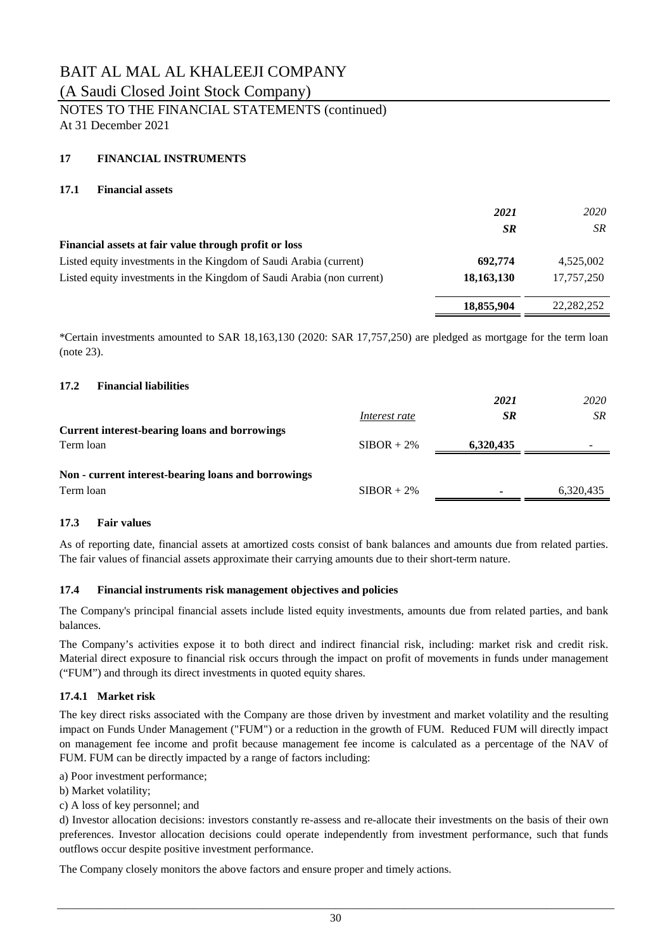NOTES TO THE FINANCIAL STATEMENTS (continued) At 31 December 2021

#### **17 FINANCIAL INSTRUMENTS**

#### **17.1 Financial assets**

|                                                                        | 2021       | 2020       |
|------------------------------------------------------------------------|------------|------------|
| Financial assets at fair value through profit or loss                  | SR.        | SR         |
| Listed equity investments in the Kingdom of Saudi Arabia (current)     | 692,774    | 4.525,002  |
| Listed equity investments in the Kingdom of Saudi Arabia (non current) | 18,163,130 | 17,757,250 |
|                                                                        | 18,855,904 | 22.282.252 |

\*Certain investments amounted to SAR 18,163,130 (2020: SAR 17,757,250) are pledged as mortgage for the term loan (note 23).

#### **17.2 Financial liabilities**

|               | 2021      | 2020      |
|---------------|-----------|-----------|
| Interest rate | SR.       | SR        |
|               |           |           |
| $SIBOR + 2\%$ | 6,320,435 |           |
|               |           |           |
|               |           |           |
| $SIBOR + 2\%$ |           | 6,320,435 |
|               |           |           |

#### **17.3 Fair values**

As of reporting date, financial assets at amortized costs consist of bank balances and amounts due from related parties. The fair values of financial assets approximate their carrying amounts due to their short-term nature.

#### **17.4 Financial instruments risk management objectives and policies**

The Company's principal financial assets include listed equity investments, amounts due from related parties, and bank balances.

The Company's activities expose it to both direct and indirect financial risk, including: market risk and credit risk. Material direct exposure to financial risk occurs through the impact on profit of movements in funds under management ("FUM") and through its direct investments in quoted equity shares.

#### **17.4.1 Market risk**

The key direct risks associated with the Company are those driven by investment and market volatility and the resulting impact on Funds Under Management ("FUM") or a reduction in the growth of FUM. Reduced FUM will directly impact on management fee income and profit because management fee income is calculated as a percentage of the NAV of FUM. FUM can be directly impacted by a range of factors including:

a) Poor investment performance;

b) Market volatility;

c) A loss of key personnel; and

d) Investor allocation decisions: investors constantly re‑assess and re‑allocate their investments on the basis of their own preferences. Investor allocation decisions could operate independently from investment performance, such that funds outflows occur despite positive investment performance.

The Company closely monitors the above factors and ensure proper and timely actions.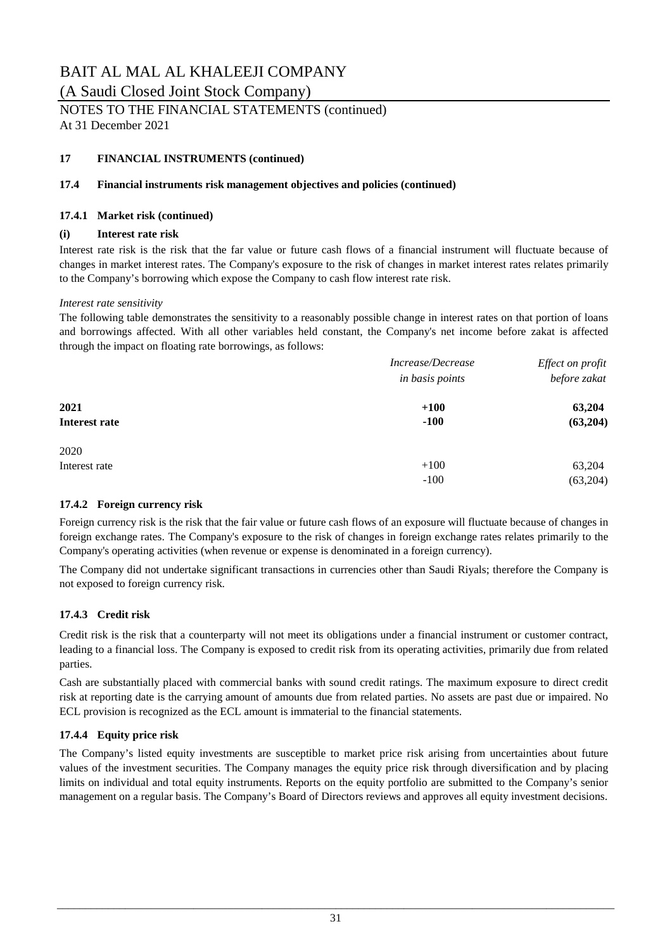NOTES TO THE FINANCIAL STATEMENTS (continued)

At 31 December 2021

#### **17 FINANCIAL INSTRUMENTS (continued)**

#### **17.4 Financial instruments risk management objectives and policies (continued)**

#### **17.4.1 Market risk (continued)**

#### **(i) Interest rate risk**

Interest rate risk is the risk that the far value or future cash flows of a financial instrument will fluctuate because of changes in market interest rates. The Company's exposure to the risk of changes in market interest rates relates primarily to the Company's borrowing which expose the Company to cash flow interest rate risk.

#### *Interest rate sensitivity*

The following table demonstrates the sensitivity to a reasonably possible change in interest rates on that portion of loans and borrowings affected. With all other variables held constant, the Company's net income before zakat is affected through the impact on floating rate borrowings, as follows:

|               | <i>Increase/Decrease</i> | Effect on profit |
|---------------|--------------------------|------------------|
|               | in basis points          | before zakat     |
| 2021          | $+100$                   | 63,204           |
| Interest rate | $-100$                   | (63,204)         |
| 2020          |                          |                  |
| Interest rate | $+100$                   | 63,204           |
|               | $-100$                   | (63, 204)        |

#### **17.4.2 Foreign currency risk**

Foreign currency risk is the risk that the fair value or future cash flows of an exposure will fluctuate because of changes in foreign exchange rates. The Company's exposure to the risk of changes in foreign exchange rates relates primarily to the Company's operating activities (when revenue or expense is denominated in a foreign currency).

The Company did not undertake significant transactions in currencies other than Saudi Riyals; therefore the Company is not exposed to foreign currency risk.

#### **17.4.3 Credit risk**

Credit risk is the risk that a counterparty will not meet its obligations under a financial instrument or customer contract, leading to a financial loss. The Company is exposed to credit risk from its operating activities, primarily due from related parties.

Cash are substantially placed with commercial banks with sound credit ratings. The maximum exposure to direct credit risk at reporting date is the carrying amount of amounts due from related parties. No assets are past due or impaired. No ECL provision is recognized as the ECL amount is immaterial to the financial statements.

#### **17.4.4 Equity price risk**

The Company's listed equity investments are susceptible to market price risk arising from uncertainties about future values of the investment securities. The Company manages the equity price risk through diversification and by placing limits on individual and total equity instruments. Reports on the equity portfolio are submitted to the Company's senior management on a regular basis. The Company's Board of Directors reviews and approves all equity investment decisions.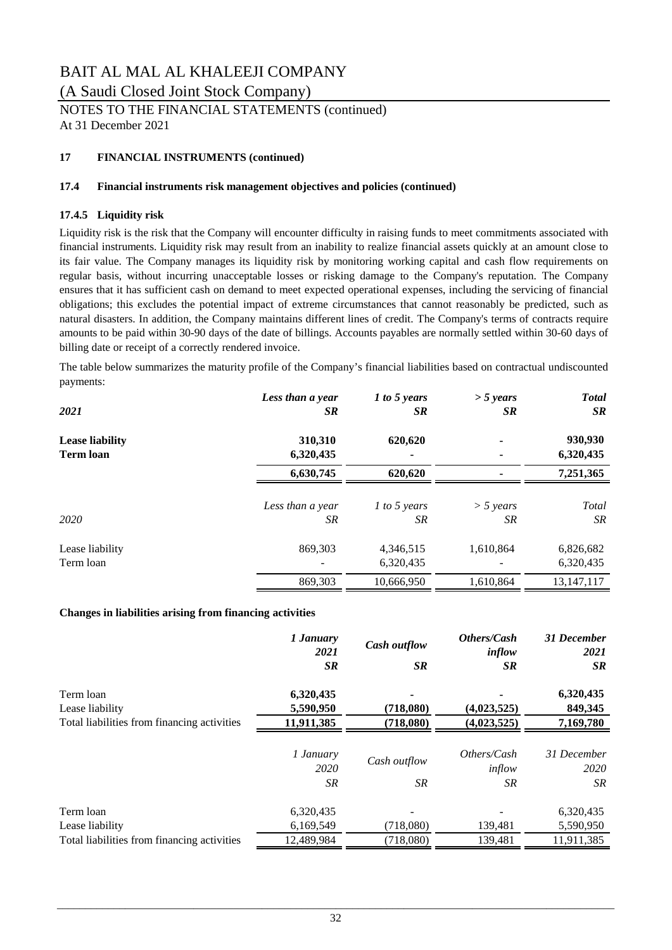NOTES TO THE FINANCIAL STATEMENTS (continued)

At 31 December 2021

#### **17 FINANCIAL INSTRUMENTS (continued)**

#### **17.4 Financial instruments risk management objectives and policies (continued)**

#### **17.4.5 Liquidity risk**

Liquidity risk is the risk that the Company will encounter difficulty in raising funds to meet commitments associated with financial instruments. Liquidity risk may result from an inability to realize financial assets quickly at an amount close to its fair value. The Company manages its liquidity risk by monitoring working capital and cash flow requirements on regular basis, without incurring unacceptable losses or risking damage to the Company's reputation. The Company ensures that it has sufficient cash on demand to meet expected operational expenses, including the servicing of financial obligations; this excludes the potential impact of extreme circumstances that cannot reasonably be predicted, such as natural disasters. In addition, the Company maintains different lines of credit. The Company's terms of contracts require amounts to be paid within 30-90 days of the date of billings. Accounts payables are normally settled within 30-60 days of billing date or receipt of a correctly rendered invoice.

The table below summarizes the maturity profile of the Company's financial liabilities based on contractual undiscounted payments:

|                        | Less than a year | 1 to 5 years   | $>$ 5 years | <b>Total</b> |
|------------------------|------------------|----------------|-------------|--------------|
| 2021                   | SR               | <b>SR</b>      | <b>SR</b>   | SR           |
| <b>Lease liability</b> | 310,310          | 620,620        |             | 930,930      |
| <b>Term loan</b>       | 6,320,435        |                |             | 6,320,435    |
|                        | 6,630,745        | 620,620        |             | 7,251,365    |
|                        | Less than a year | $1$ to 5 years | $>$ 5 years | <b>Total</b> |
| 2020                   | SR.              | SR             | <b>SR</b>   | SR.          |
| Lease liability        | 869,303          | 4,346,515      | 1,610,864   | 6,826,682    |
| Term loan              |                  | 6,320,435      |             | 6,320,435    |
|                        | 869,303          | 10,666,950     | 1,610,864   | 13, 147, 117 |

#### **Changes in liabilities arising from financing activities**

|                                             | 1 January<br>2021 | Cash outflow | Others/Cash<br>inflow | 31 December<br>2021 |
|---------------------------------------------|-------------------|--------------|-----------------------|---------------------|
|                                             | <b>SR</b>         | <b>SR</b>    | <b>SR</b>             | <b>SR</b>           |
| Term loan                                   | 6,320,435         |              |                       | 6,320,435           |
| Lease liability                             | 5,590,950         | (718,080)    | (4,023,525)           | 849,345             |
| Total liabilities from financing activities | 11,911,385        | (718,080)    | (4,023,525)           | 7,169,780           |
|                                             | 1 January<br>2020 | Cash outflow | Others/Cash<br>inflow | 31 December<br>2020 |
|                                             | <b>SR</b>         | SR           | <b>SR</b>             | SR.                 |
| Term loan                                   | 6,320,435         |              |                       | 6,320,435           |
| Lease liability                             | 6,169,549         | (718,080)    | 139,481               | 5,590,950           |
| Total liabilities from financing activities | 12,489,984        | (718,080)    | 139,481               | 11.911.385          |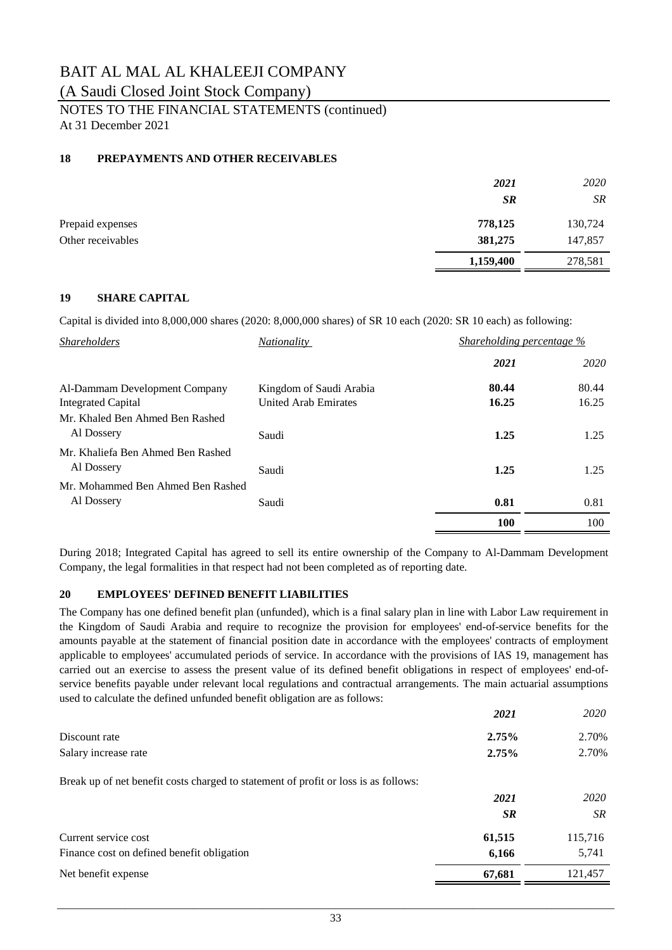### NOTES TO THE FINANCIAL STATEMENTS (continued) At 31 December 2021

#### **18 PREPAYMENTS AND OTHER RECEIVABLES**

|                   | 2021      | 2020    |
|-------------------|-----------|---------|
|                   | <b>SR</b> | SR      |
| Prepaid expenses  | 778,125   | 130,724 |
| Other receivables | 381,275   | 147,857 |
|                   | 1,159,400 | 278,581 |

#### **19 SHARE CAPITAL**

Capital is divided into 8,000,000 shares (2020: 8,000,000 shares) of SR 10 each (2020: SR 10 each) as following:

| <b>Shareholders</b><br><b>Nationality</b> |                             |            | Shareholding percentage % |  |
|-------------------------------------------|-----------------------------|------------|---------------------------|--|
|                                           |                             | 2021       | 2020                      |  |
| Al-Dammam Development Company             | Kingdom of Saudi Arabia     | 80.44      | 80.44                     |  |
| <b>Integrated Capital</b>                 | <b>United Arab Emirates</b> | 16.25      | 16.25                     |  |
| Mr. Khaled Ben Ahmed Ben Rashed           |                             |            |                           |  |
| Al Dossery                                | Saudi                       | 1.25       | 1.25                      |  |
| Mr. Khaliefa Ben Ahmed Ben Rashed         |                             |            |                           |  |
| Al Dossery                                | Saudi                       | 1.25       | 1.25                      |  |
| Mr. Mohammed Ben Ahmed Ben Rashed         |                             |            |                           |  |
| Al Dossery                                | Saudi                       | 0.81       | 0.81                      |  |
|                                           |                             | <b>100</b> | 100                       |  |

During 2018; Integrated Capital has agreed to sell its entire ownership of the Company to Al-Dammam Development Company, the legal formalities in that respect had not been completed as of reporting date.

#### **20 EMPLOYEES' DEFINED BENEFIT LIABILITIES**

The Company has one defined benefit plan (unfunded), which is a final salary plan in line with Labor Law requirement in the Kingdom of Saudi Arabia and require to recognize the provision for employees' end-of-service benefits for the amounts payable at the statement of financial position date in accordance with the employees' contracts of employment applicable to employees' accumulated periods of service. In accordance with the provisions of IAS 19, management has carried out an exercise to assess the present value of its defined benefit obligations in respect of employees' end-ofservice benefits payable under relevant local regulations and contractual arrangements. The main actuarial assumptions used to calculate the defined unfunded benefit obligation are as follows:

|                                                                                     | 2021      | 2020    |
|-------------------------------------------------------------------------------------|-----------|---------|
| Discount rate                                                                       | 2.75%     | 2.70%   |
| Salary increase rate                                                                | 2.75%     | 2.70%   |
| Break up of net benefit costs charged to statement of profit or loss is as follows: |           |         |
|                                                                                     | 2021      | 2020    |
|                                                                                     | <b>SR</b> | SR      |
| Current service cost                                                                | 61,515    | 115,716 |
| Finance cost on defined benefit obligation                                          | 6,166     | 5,741   |
| Net benefit expense                                                                 | 67,681    | 121,457 |
|                                                                                     |           |         |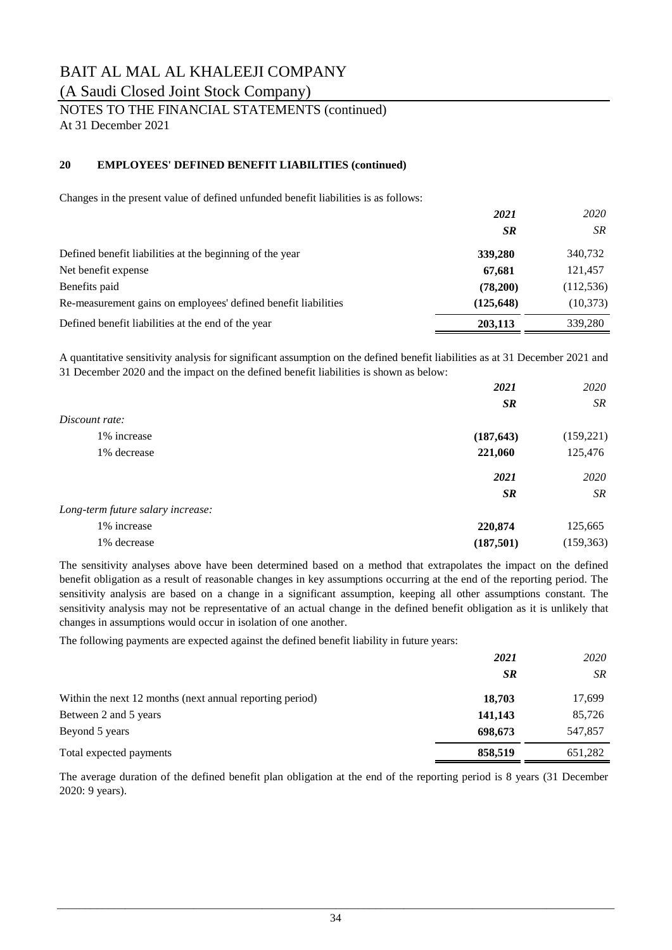#### NOTES TO THE FINANCIAL STATEMENTS (continued) At 31 December 2021

#### **20 EMPLOYEES' DEFINED BENEFIT LIABILITIES (continued)**

Changes in the present value of defined unfunded benefit liabilities is as follows:

|                                                                | 2021       | 2020       |
|----------------------------------------------------------------|------------|------------|
|                                                                | <b>SR</b>  | SR         |
| Defined benefit liabilities at the beginning of the year       | 339,280    | 340,732    |
| Net benefit expense                                            | 67.681     | 121,457    |
| Benefits paid                                                  | (78,200)   | (112, 536) |
| Re-measurement gains on employees' defined benefit liabilities | (125, 648) | (10, 373)  |
| Defined benefit liabilities at the end of the year             | 203,113    | 339,280    |

A quantitative sensitivity analysis for significant assumption on the defined benefit liabilities as at 31 December 2021 and 31 December 2020 and the impact on the defined benefit liabilities is shown as below:

|                                   | 2021       | 2020       |
|-----------------------------------|------------|------------|
|                                   | <b>SR</b>  | <b>SR</b>  |
| Discount rate:                    |            |            |
| 1% increase                       | (187, 643) | (159, 221) |
| 1% decrease                       | 221,060    | 125,476    |
|                                   | 2021       | 2020       |
|                                   | <b>SR</b>  | <b>SR</b>  |
| Long-term future salary increase: |            |            |
| 1% increase                       | 220,874    | 125,665    |
| 1% decrease                       | (187, 501) | (159, 363) |

The sensitivity analyses above have been determined based on a method that extrapolates the impact on the defined benefit obligation as a result of reasonable changes in key assumptions occurring at the end of the reporting period. The sensitivity analysis are based on a change in a significant assumption, keeping all other assumptions constant. The sensitivity analysis may not be representative of an actual change in the defined benefit obligation as it is unlikely that changes in assumptions would occur in isolation of one another.

The following payments are expected against the defined benefit liability in future years:

|                                                          | 2021      | 2020    |
|----------------------------------------------------------|-----------|---------|
|                                                          | <b>SR</b> | SR.     |
| Within the next 12 months (next annual reporting period) | 18,703    | 17,699  |
| Between 2 and 5 years                                    | 141,143   | 85,726  |
| Beyond 5 years                                           | 698.673   | 547,857 |
| Total expected payments                                  | 858,519   | 651,282 |

The average duration of the defined benefit plan obligation at the end of the reporting period is 8 years (31 December 2020: 9 years).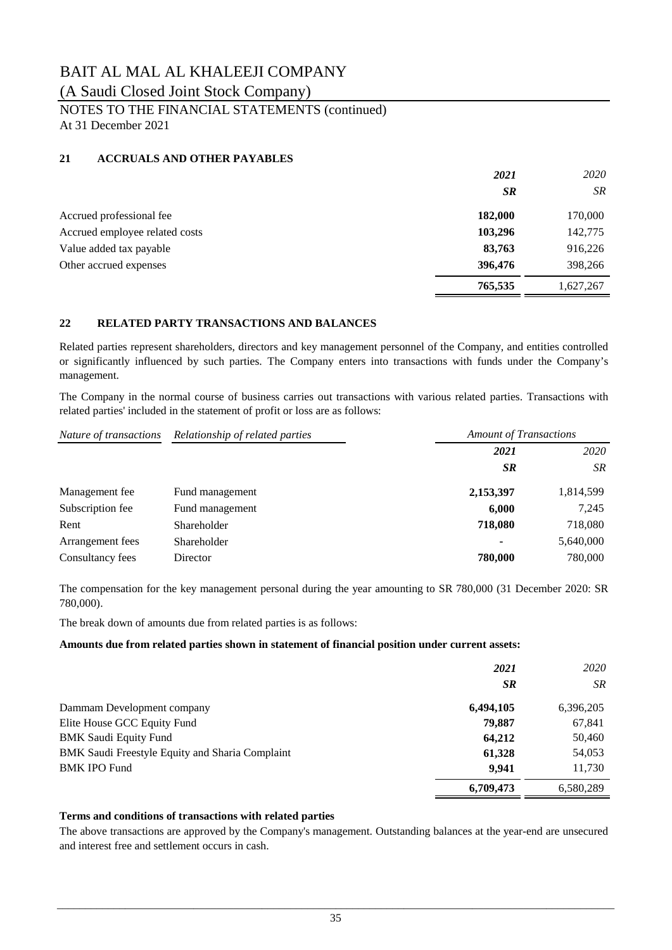### NOTES TO THE FINANCIAL STATEMENTS (continued) At 31 December 2021

#### **21 ACCRUALS AND OTHER PAYABLES**

|                                | 2021      | 2020      |
|--------------------------------|-----------|-----------|
|                                | <b>SR</b> | SR        |
| Accrued professional fee       | 182,000   | 170,000   |
| Accrued employee related costs | 103,296   | 142,775   |
| Value added tax payable        | 83,763    | 916,226   |
| Other accrued expenses         | 396,476   | 398,266   |
|                                | 765,535   | 1,627,267 |

#### **22 RELATED PARTY TRANSACTIONS AND BALANCES**

Related parties represent shareholders, directors and key management personnel of the Company, and entities controlled or significantly influenced by such parties. The Company enters into transactions with funds under the Company's management.

The Company in the normal course of business carries out transactions with various related parties. Transactions with related parties' included in the statement of profit or loss are as follows:

| Nature of transactions | Relationship of related parties | <b>Amount of Transactions</b> |           |
|------------------------|---------------------------------|-------------------------------|-----------|
|                        |                                 | 2021                          | 2020      |
|                        |                                 | <b>SR</b>                     | SR.       |
| Management fee         | Fund management                 | 2,153,397                     | 1,814,599 |
| Subscription fee       | Fund management                 | 6,000                         | 7,245     |
| Rent                   | Shareholder                     | 718,080                       | 718,080   |
| Arrangement fees       | Shareholder                     | ۰                             | 5,640,000 |
| Consultancy fees       | Director                        | 780,000                       | 780,000   |

The compensation for the key management personal during the year amounting to SR 780,000 (31 December 2020: SR 780,000).

The break down of amounts due from related parties is as follows:

#### **Amounts due from related parties shown in statement of financial position under current assets:**

|                                                 | 2021<br><b>SR</b> | 2020<br><b>SR</b> |
|-------------------------------------------------|-------------------|-------------------|
| Dammam Development company                      | 6,494,105         | 6,396,205         |
| Elite House GCC Equity Fund                     | 79,887            | 67,841            |
| <b>BMK Saudi Equity Fund</b>                    | 64,212            | 50,460            |
| BMK Saudi Freestyle Equity and Sharia Complaint | 61,328            | 54,053            |
| <b>BMK IPO Fund</b>                             | 9.941             | 11,730            |
|                                                 | 6,709,473         | 6,580,289         |

#### **Terms and conditions of transactions with related parties**

The above transactions are approved by the Company's management. Outstanding balances at the year-end are unsecured and interest free and settlement occurs in cash.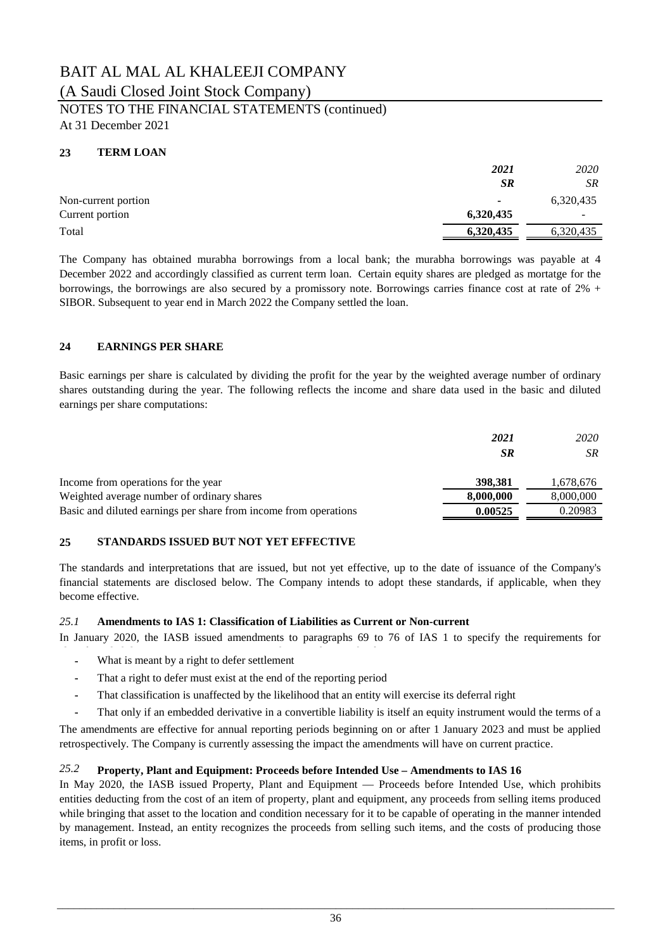#### At 31 December 2021 NOTES TO THE FINANCIAL STATEMENTS (continued)

#### **23 TERM LOAN**

|                     | 2021<br><b>SR</b> | 2020<br>SR. |
|---------------------|-------------------|-------------|
| Non-current portion | ٠                 | 6,320,435   |
| Current portion     | 6,320,435         |             |
| Total               | 6,320,435         | 6,320,435   |

The Company has obtained murabha borrowings from a local bank; the murabha borrowings was payable at 4 December 2022 and accordingly classified as current term loan. Certain equity shares are pledged as mortatge for the borrowings, the borrowings are also secured by a promissory note. Borrowings carries finance cost at rate of 2% + SIBOR. Subsequent to year end in March 2022 the Company settled the loan.

#### **24 EARNINGS PER SHARE**

Basic earnings per share is calculated by dividing the profit for the year by the weighted average number of ordinary shares outstanding during the year. The following reflects the income and share data used in the basic and diluted earnings per share computations:

|                                                                  | 2021<br>SR. | 2020<br>SR |
|------------------------------------------------------------------|-------------|------------|
| Income from operations for the year                              | 398,381     | 1,678,676  |
| Weighted average number of ordinary shares                       | 8,000,000   | 8,000,000  |
| Basic and diluted earnings per share from income from operations | 0.00525     | 0.20983    |

#### **25 STANDARDS ISSUED BUT NOT YET EFFECTIVE**

The standards and interpretations that are issued, but not yet effective, up to the date of issuance of the Company's financial statements are disclosed below. The Company intends to adopt these standards, if applicable, when they become effective.

#### *25.1* **Amendments to IAS 1: Classification of Liabilities as Current or Non-current**

In January 2020, the IASB issued amendments to paragraphs 69 to 76 of IAS 1 to specify the requirements for

- **-** - What is meant by a right to defer settlement.
	- **-** That a right to defer must exist at the end of the reporting period
	- **-** That classification is unaffected by the likelihood that an entity will exercise its deferral right
	- **-** That only if an embedded derivative in a convertible liability is itself an equity instrument would the terms of a

The amendments are effective for annual reporting periods beginning on or after 1 January 2023 and must be applied retrospectively. The Company is currently assessing the impact the amendments will have on current practice.

#### *25.2* **Property, Plant and Equipment: Proceeds before Intended Use – Amendments to IAS 16**

In May 2020, the IASB issued Property, Plant and Equipment — Proceeds before Intended Use, which prohibits entities deducting from the cost of an item of property, plant and equipment, any proceeds from selling items produced while bringing that asset to the location and condition necessary for it to be capable of operating in the manner intended by management. Instead, an entity recognizes the proceeds from selling such items, and the costs of producing those items, in profit or loss.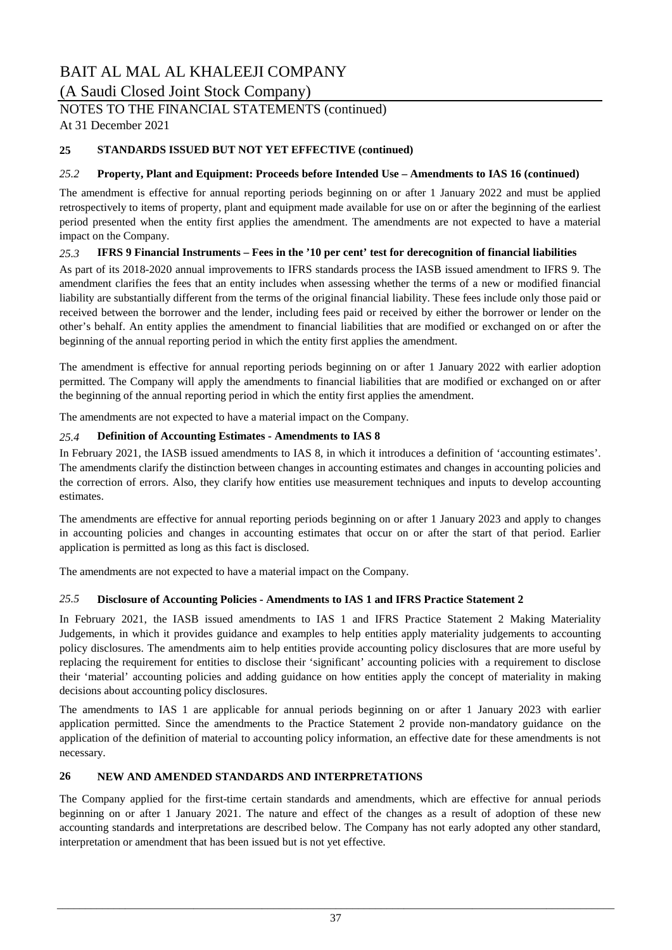### NOTES TO THE FINANCIAL STATEMENTS (continued)

At 31 December 2021

#### **25 STANDARDS ISSUED BUT NOT YET EFFECTIVE (continued)**

#### *25.2* **Property, Plant and Equipment: Proceeds before Intended Use – Amendments to IAS 16 (continued)**

The amendment is effective for annual reporting periods beginning on or after 1 January 2022 and must be applied retrospectively to items of property, plant and equipment made available for use on or after the beginning of the earliest period presented when the entity first applies the amendment. The amendments are not expected to have a material impact on the Company.

#### *25.3* **IFRS 9 Financial Instruments – Fees in the '10 per cent' test for derecognition of financial liabilities**

As part of its 2018-2020 annual improvements to IFRS standards process the IASB issued amendment to IFRS 9. The amendment clarifies the fees that an entity includes when assessing whether the terms of a new or modified financial liability are substantially different from the terms of the original financial liability. These fees include only those paid or received between the borrower and the lender, including fees paid or received by either the borrower or lender on the other's behalf. An entity applies the amendment to financial liabilities that are modified or exchanged on or after the beginning of the annual reporting period in which the entity first applies the amendment.

The amendment is effective for annual reporting periods beginning on or after 1 January 2022 with earlier adoption permitted. The Company will apply the amendments to financial liabilities that are modified or exchanged on or after the beginning of the annual reporting period in which the entity first applies the amendment.

The amendments are not expected to have a material impact on the Company.

#### *25.4* **Definition of Accounting Estimates - Amendments to IAS 8**

In February 2021, the IASB issued amendments to IAS 8, in which it introduces a definition of 'accounting estimates'. The amendments clarify the distinction between changes in accounting estimates and changes in accounting policies and the correction of errors. Also, they clarify how entities use measurement techniques and inputs to develop accounting estimates.

The amendments are effective for annual reporting periods beginning on or after 1 January 2023 and apply to changes in accounting policies and changes in accounting estimates that occur on or after the start of that period. Earlier application is permitted as long as this fact is disclosed.

The amendments are not expected to have a material impact on the Company.

#### *25.5* **Disclosure of Accounting Policies - Amendments to IAS 1 and IFRS Practice Statement 2**

In February 2021, the IASB issued amendments to IAS 1 and IFRS Practice Statement 2 Making Materiality Judgements, in which it provides guidance and examples to help entities apply materiality judgements to accounting policy disclosures. The amendments aim to help entities provide accounting policy disclosures that are more useful by replacing the requirement for entities to disclose their 'significant' accounting policies with a requirement to disclose their 'material' accounting policies and adding guidance on how entities apply the concept of materiality in making decisions about accounting policy disclosures.

The amendments to IAS 1 are applicable for annual periods beginning on or after 1 January 2023 with earlier application permitted. Since the amendments to the Practice Statement 2 provide non-mandatory guidance on the application of the definition of material to accounting policy information, an effective date for these amendments is not necessary.

#### **26 NEW AND AMENDED STANDARDS AND INTERPRETATIONS**

The Company applied for the first-time certain standards and amendments, which are effective for annual periods beginning on or after 1 January 2021. The nature and effect of the changes as a result of adoption of these new accounting standards and interpretations are described below. The Company has not early adopted any other standard, interpretation or amendment that has been issued but is not yet effective.